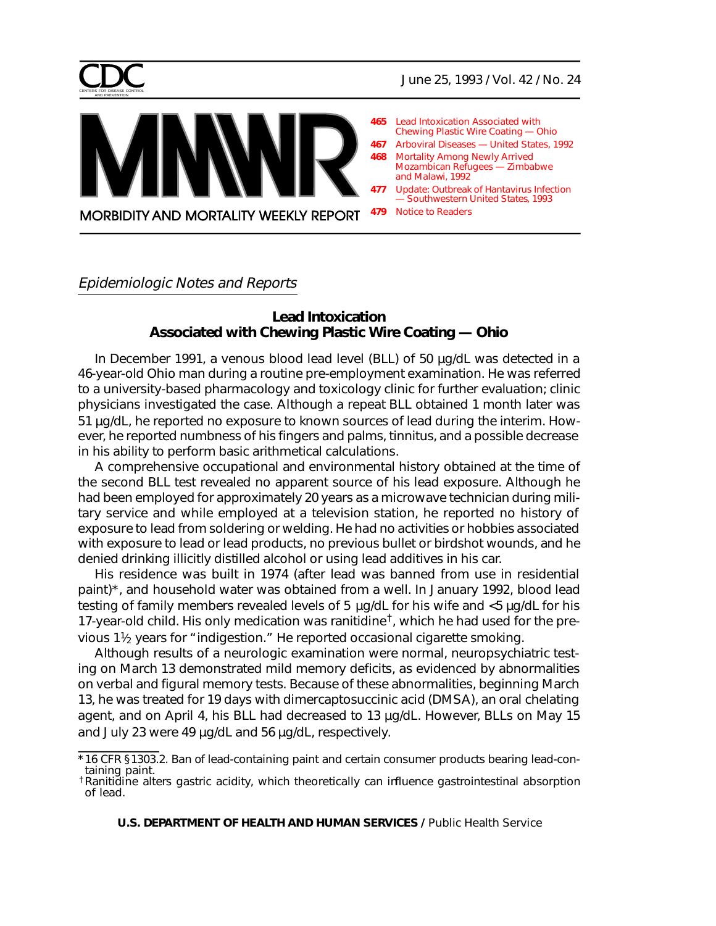

- **465** Lead Intoxication Associated with Chewing Plastic Wire Coating — Ohio
- **467** [Arboviral Diseases United States, 1992](#page-2-0)
- **468** Mortality Among Newly Arrived [Mozambican Refugees — Zimbabwe](#page-3-0) and Malawi, 1992
- **477** [Update: Outbreak of Hantavirus Infection](#page-12-0) — Southwestern United States, 1993
- **479** [Notice to Readers](#page-14-0) **MORBIDITY AND MORTALITY WEEKLY REPORT**

Epidemiologic Notes and Reports

# **Lead Intoxication Associated with Chewing Plastic Wire Coating — Ohio**

In December 1991, a venous blood lead level (BLL) of 50 µg/dL was detected in a 46-year-old Ohio man during a routine pre-employment examination. He was referred to a university-based pharmacology and toxicology clinic for further evaluation; clinic physicians investigated the case. Although a repeat BLL obtained 1 month later was 51 µg/dL, he reported no exposure to known sources of lead during the interim. However, he reported numbness of his fingers and palms, tinnitus, and a possible decrease in his ability to perform basic arithmetical calculations.

A comprehensive occupational and environmental history obtained at the time of the second BLL test revealed no apparent source of his lead exposure. Although he had been employed for approximately 20 years as a microwave technician during military service and while employed at a television station, he reported no history of exposure to lead from soldering or welding. He had no activities or hobbies associated with exposure to lead or lead products, no previous bullet or birdshot wounds, and he denied drinking illicitly distilled alcohol or using lead additives in his car.

His residence was built in 1974 (after lead was banned from use in residential paint)\*, and household water was obtained from a well. In January 1992, blood lead testing of family members revealed levels of 5 µg/dL for his wife and <5 µg/dL for his 17-year-old child. His only medication was ranitidine<sup>†</sup>, which he had used for the previous  $1\frac{1}{2}$  years for "indigestion." He reported occasional cigarette smoking.

Although results of a neurologic examination were normal, neuropsychiatric testing on March 13 demonstrated mild memory deficits, as evidenced by abnormalities on verbal and figural memory tests. Because of these abnormalities, beginning March 13, he was treated for 19 days with dimercaptosuccinic acid (DMSA), an oral chelating agent, and on April 4, his BLL had decreased to 13 µg/dL. However, BLLs on May 15 and July 23 were 49 µg/dL and 56 µg/dL, respectively.

<sup>\*16</sup> CFR §1303.2. Ban of lead-containing paint and certain consumer products bearing lead-con-<br>taining paint.<br>†Ranitidine alters gastric acidity, which theoretically can influence gastrointestinal absorption

of lead.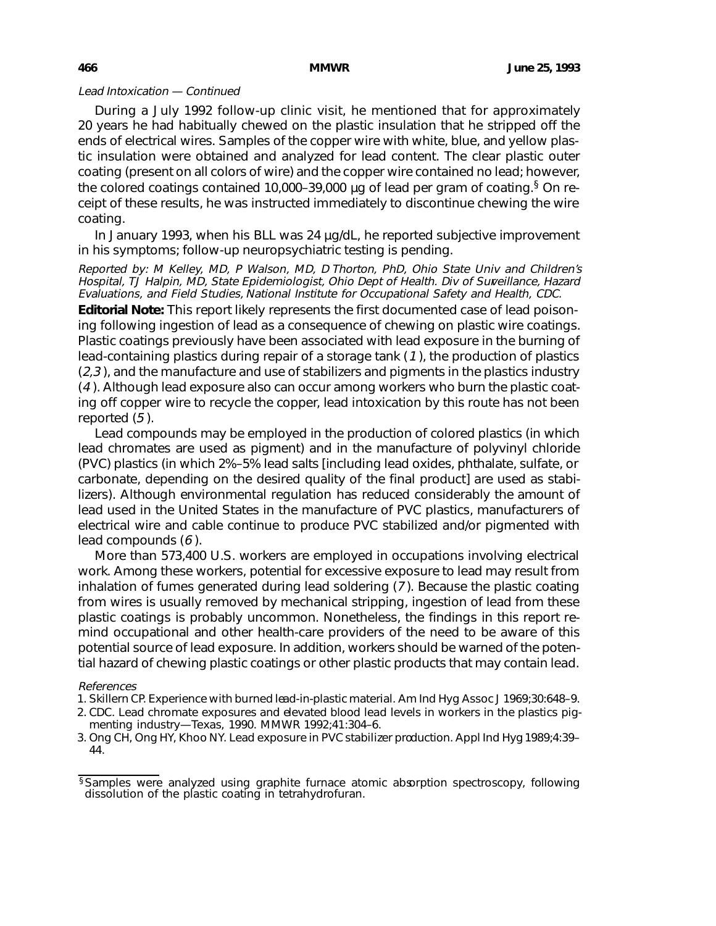### Lead Intoxication — Continued

During a July 1992 follow-up clinic visit, he mentioned that for approximately 20 years he had habitually chewed on the plastic insulation that he stripped off the ends of electrical wires. Samples of the copper wire with white, blue, and yellow plastic insulation were obtained and analyzed for lead content. The clear plastic outer coating (present on all colors of wire) and the copper wire contained no lead; however, the colored coatings contained 10,000–39,000  $\mu$ g of lead per gram of coating. <sup>§</sup> On receipt of these results, he was instructed immediately to discontinue chewing the wire coating.

In January 1993, when his BLL was 24 µg/dL, he reported subjective improvement in his symptoms; follow-up neuropsychiatric testing is pending.

Reported by: M Kelley, MD, P Walson, MD, D Thorton, PhD, Ohio State Univ and Children's Hospital, TJ Halpin, MD, State Epidemiologist, Ohio Dept of Health. Div of Surveillance, Hazard Evaluations, and Field Studies, National Institute for Occupational Safety and Health, CDC.

**Editorial Note:** This report likely represents the first documented case of lead poisoning following ingestion of lead as a consequence of chewing on plastic wire coatings. Plastic coatings previously have been associated with lead exposure in the burning of lead-containing plastics during repair of a storage tank (1 ), the production of plastics  $(2,3)$ , and the manufacture and use of stabilizers and pigments in the plastics industry (4 ). Although lead exposure also can occur among workers who burn the plastic coating off copper wire to recycle the copper, lead intoxication by this route has not been reported (5 ).

Lead compounds may be employed in the production of colored plastics (in which lead chromates are used as pigment) and in the manufacture of polyvinyl chloride (PVC) plastics (in which 2%–5% lead salts [including lead oxides, phthalate, sulfate, or carbonate, depending on the desired quality of the final product] are used as stabilizers). Although environmental regulation has reduced considerably the amount of lead used in the United States in the manufacture of PVC plastics, manufacturers of electrical wire and cable continue to produce PVC stabilized and/or pigmented with lead compounds (6 ).

More than 573,400 U.S. workers are employed in occupations involving electrical work. Among these workers, potential for excessive exposure to lead may result from inhalation of fumes generated during lead soldering (7 ). Because the plastic coating from wires is usually removed by mechanical stripping, ingestion of lead from these plastic coatings is probably uncommon. Nonetheless, the findings in this report remind occupational and other health-care providers of the need to be aware of this potential source of lead exposure. In addition, workers should be warned of the potential hazard of chewing plastic coatings or other plastic products that may contain lead.

### References

- 1. Skillern CP. Experience with burned lead-in-plastic material. Am Ind Hyg Assoc J 1969;30:648–9.
- 2. CDC. Lead chromate exposures and elevated blood lead levels in workers in the plastics pigmenting industry—Texas, 1990. MMWR 1992;41:304–6.
- 3. Ong CH, Ong HY, Khoo NY. Lead exposure in PVC stabilizer production. Appl Ind Hyg 1989;4:39– 44.

<sup>§</sup>Samples were analyzed using graphite furnace atomic absorption spectroscopy, following dissolution of the plastic coating in tetrahydrofuran.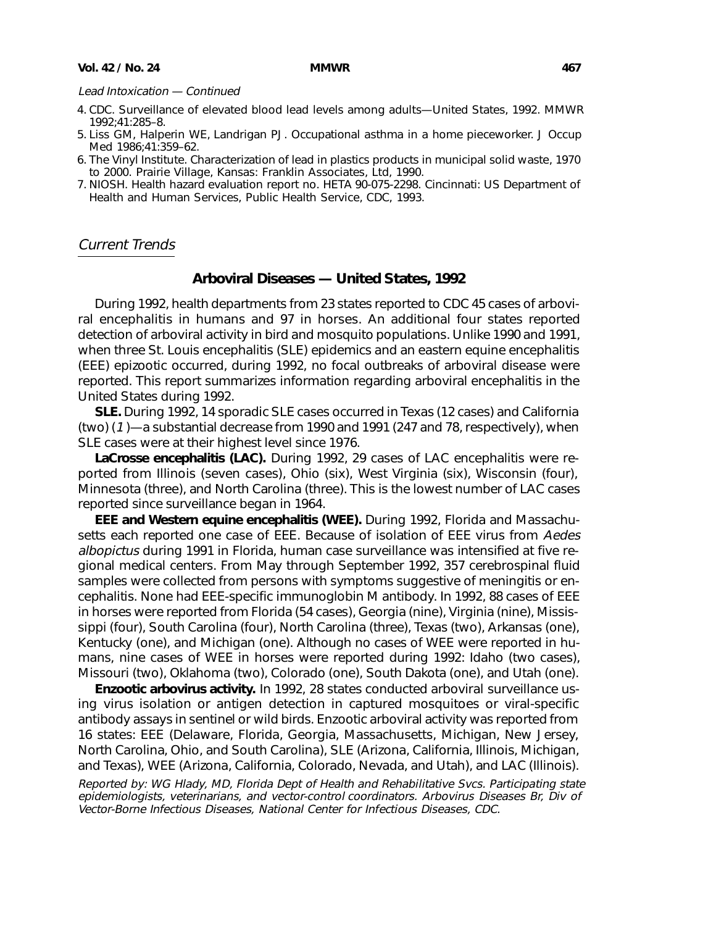### <span id="page-2-0"></span>Lead Intoxication — Continued

- 4. CDC. Surveillance of elevated blood lead levels among adults—United States, 1992. MMWR 1992;41:285–8.
- 5. Liss GM, Halperin WE, Landrigan PJ. Occupational asthma in a home pieceworker. J Occup Med 1986;41:359–62.
- 6. The Vinyl Institute. Characterization of lead in plastics products in municipal solid waste, 1970 to 2000. Prairie Village, Kansas: Franklin Associates, Ltd, 1990.
- 7. NIOSH. Health hazard evaluation report no. HETA 90-075-2298. Cincinnati: US Department of Health and Human Services, Public Health Service, CDC, 1993.

## Current Trends

### **Arboviral Diseases — United States, 1992**

During 1992, health departments from 23 states reported to CDC 45 cases of arboviral encephalitis in humans and 97 in horses. An additional four states reported detection of arboviral activity in bird and mosquito populations. Unlike 1990 and 1991, when three St. Louis encephalitis (SLE) epidemics and an eastern equine encephalitis (EEE) epizootic occurred, during 1992, no focal outbreaks of arboviral disease were reported. This report summarizes information regarding arboviral encephalitis in the United States during 1992.

**SLE.** During 1992, 14 sporadic SLE cases occurred in Texas (12 cases) and California (two) (1 )—a substantial decrease from 1990 and 1991 (247 and 78, respectively), when SLE cases were at their highest level since 1976.

**LaCrosse encephalitis (LAC).** During 1992, 29 cases of LAC encephalitis were reported from Illinois (seven cases), Ohio (six), West Virginia (six), Wisconsin (four), Minnesota (three), and North Carolina (three). This is the lowest number of LAC cases reported since surveillance began in 1964.

**EEE and Western equine encephalitis (WEE).** During 1992, Florida and Massachusetts each reported one case of EEE. Because of isolation of EEE virus from Aedes albopictus during 1991 in Florida, human case surveillance was intensified at five regional medical centers. From May through September 1992, 357 cerebrospinal fluid samples were collected from persons with symptoms suggestive of meningitis or encephalitis. None had EEE-specific immunoglobin M antibody. In 1992, 88 cases of EEE in horses were reported from Florida (54 cases), Georgia (nine), Virginia (nine), Mississippi (four), South Carolina (four), North Carolina (three), Texas (two), Arkansas (one), Kentucky (one), and Michigan (one). Although no cases of WEE were reported in humans, nine cases of WEE in horses were reported during 1992: Idaho (two cases), Missouri (two), Oklahoma (two), Colorado (one), South Dakota (one), and Utah (one).

**Enzootic arbovirus activity.** In 1992, 28 states conducted arboviral surveillance using virus isolation or antigen detection in captured mosquitoes or viral-specific antibody assays in sentinel or wild birds. Enzootic arboviral activity was reported from 16 states: EEE (Delaware, Florida, Georgia, Massachusetts, Michigan, New Jersey, North Carolina, Ohio, and South Carolina), SLE (Arizona, California, Illinois, Michigan, and Texas), WEE (Arizona, California, Colorado, Nevada, and Utah), and LAC (Illinois).

Reported by: WG Hlady, MD, Florida Dept of Health and Rehabilitative Svcs. Participating state epidemiologists, veterinarians, and vector-control coordinators. Arbovirus Diseases Br, Div of Vector-Borne Infectious Diseases, National Center for Infectious Diseases, CDC.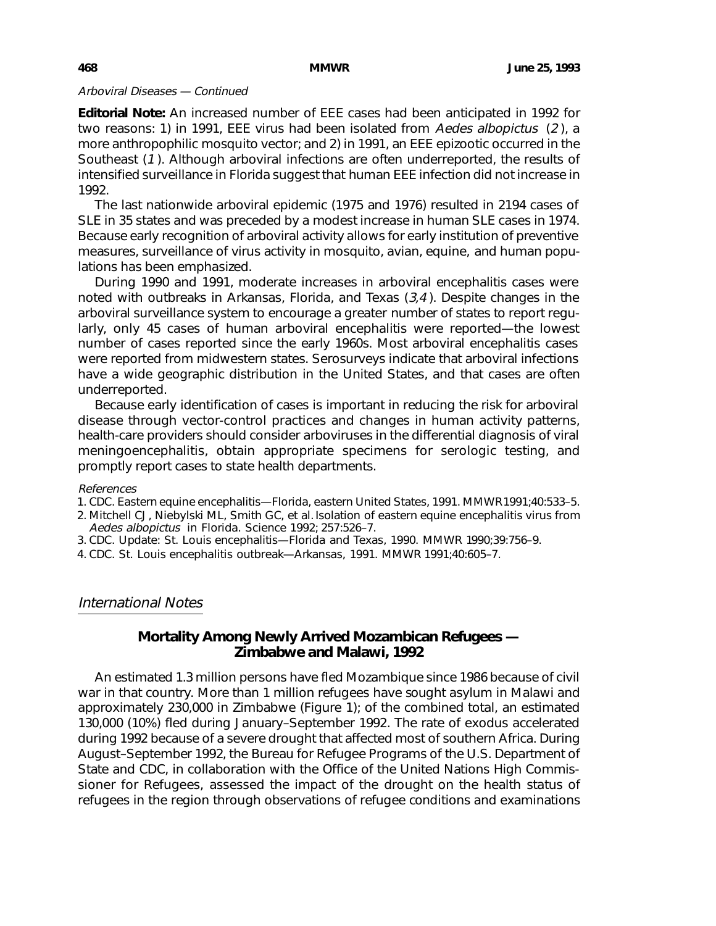## <span id="page-3-0"></span>Arboviral Diseases — Continued

**Editorial Note:** An increased number of EEE cases had been anticipated in 1992 for two reasons: 1) in 1991, EEE virus had been isolated from Aedes albopictus (2 ), a more anthropophilic mosquito vector; and 2) in 1991, an EEE epizootic occurred in the Southeast (1). Although arboviral infections are often underreported, the results of intensified surveillance in Florida suggest that human EEE infection did not increase in 1992.

The last nationwide arboviral epidemic (1975 and 1976) resulted in 2194 cases of SLE in 35 states and was preceded by a modest increase in human SLE cases in 1974. Because early recognition of arboviral activity allows for early institution of preventive measures, surveillance of virus activity in mosquito, avian, equine, and human populations has been emphasized.

During 1990 and 1991, moderate increases in arboviral encephalitis cases were noted with outbreaks in Arkansas, Florida, and Texas (3,4 ). Despite changes in the arboviral surveillance system to encourage a greater number of states to report regularly, only 45 cases of human arboviral encephalitis were reported—the lowest number of cases reported since the early 1960s. Most arboviral encephalitis cases were reported from midwestern states. Serosurveys indicate that arboviral infections have a wide geographic distribution in the United States, and that cases are often underreported.

Because early identification of cases is important in reducing the risk for arboviral disease through vector-control practices and changes in human activity patterns, health-care providers should consider arboviruses in the differential diagnosis of viral meningoencephalitis, obtain appropriate specimens for serologic testing, and promptly report cases to state health departments.

### References

- 1. CDC. Eastern equine encephalitis—Florida, eastern United States, 1991. MMWR 1991;40:533–5.
- 2. Mitchell CJ, Niebylski ML, Smith GC, et al. Isolation of eastern equine encephalitis virus from Aedes albopictus in Florida. Science 1992; 257:526–7.
- 3. CDC. Update: St. Louis encephalitis—Florida and Texas, 1990. MMWR 1990;39:756–9.
- 4. CDC. St. Louis encephalitis outbreak—Arkansas, 1991. MMWR 1991;40:605–7.

# International Notes

# **Mortality Among Newly Arrived Mozambican Refugees — Zimbabwe and Malawi, 1992**

An estimated 1.3 million persons have fled Mozambique since 1986 because of civil war in that country. More than 1 million refugees have sought asylum in Malawi and approximately 230,000 in Zimbabwe (Figure 1); of the combined total, an estimated 130,000 (10%) fled during January–September 1992. The rate of exodus accelerated during 1992 because of a severe drought that affected most of southern Africa. During August–September 1992, the Bureau for Refugee Programs of the U.S. Department of State and CDC, in collaboration with the Office of the United Nations High Commissioner for Refugees, assessed the impact of the drought on the health status of refugees in the region through observations of refugee conditions and examinations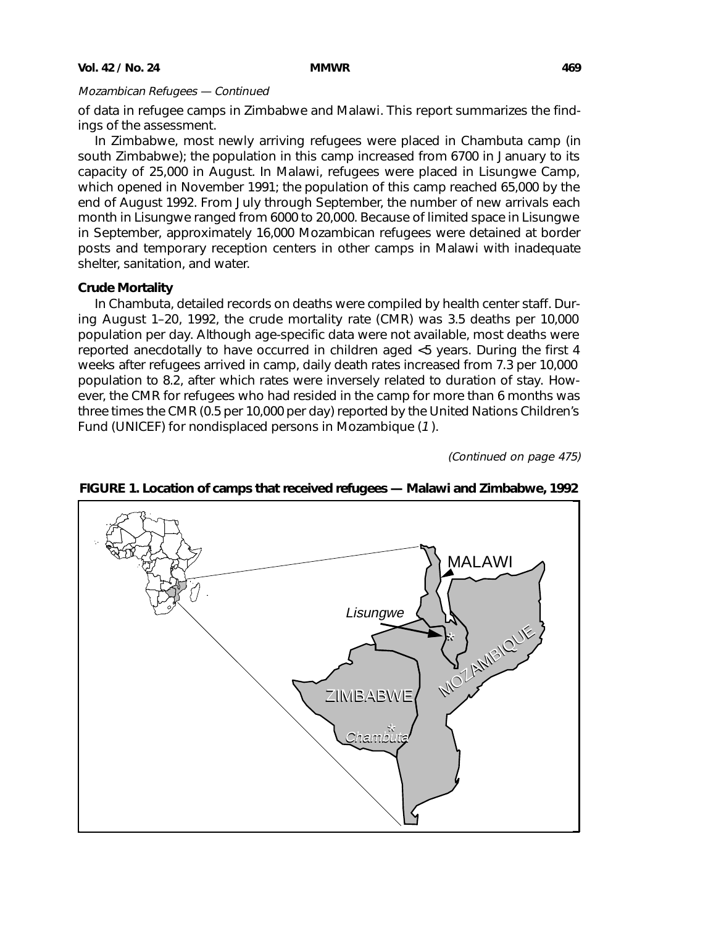of data in refugee camps in Zimbabwe and Malawi. This report summarizes the findings of the assessment.

In Zimbabwe, most newly arriving refugees were placed in Chambuta camp (in south Zimbabwe); the population in this camp increased from 6700 in January to its capacity of 25,000 in August. In Malawi, refugees were placed in Lisungwe Camp, which opened in November 1991; the population of this camp reached 65,000 by the end of August 1992. From July through September, the number of new arrivals each month in Lisungwe ranged from 6000 to 20,000. Because of limited space in Lisungwe in September, approximately 16,000 Mozambican refugees were detained at border posts and temporary reception centers in other camps in Malawi with inadequate shelter, sanitation, and water.

## **Crude Mortality**

In Chambuta, detailed records on deaths were compiled by health center staff. During August 1–20, 1992, the crude mortality rate (CMR) was 3.5 deaths per 10,000 population per day. Although age-specific data were not available, most deaths were reported anecdotally to have occurred in children aged <5 years. During the first 4 weeks after refugees arrived in camp, daily death rates increased from 7.3 per 10,000 population to 8.2, after which rates were inversely related to duration of stay. However, the CMR for refugees who had resided in the camp for more than 6 months was three times the CMR (0.5 per 10,000 per day) reported by the United Nations Children's Fund (UNICEF) for nondisplaced persons in Mozambique (1 ).

(Continued on page 475)



## **FIGURE 1. Location of camps that received refugees — Malawi and Zimbabwe, 1992**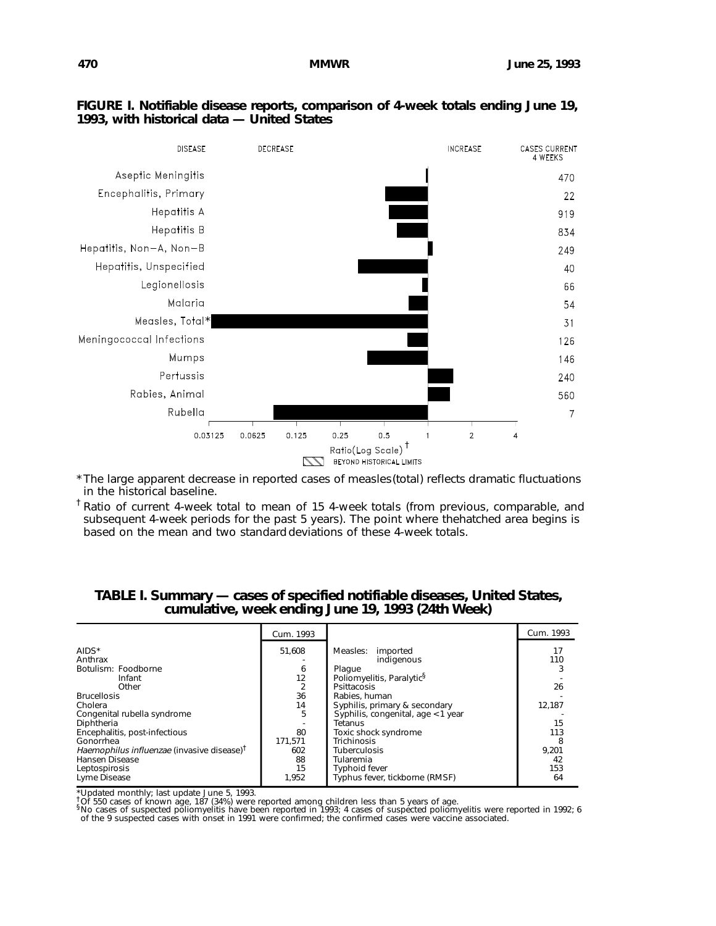### **FIGURE I. Notifiable disease reports, comparison of 4-week totals ending June 19, 1993, with historical data — United States**



\*The large apparent decrease in reported cases of measles (total) reflects dramatic fluctuations in the historical baseline.

<sup>†</sup> Ratio of current 4-week total to mean of 15 4-week totals (from previous, comparable, and subsequent 4-week periods for the past 5 years). The point where the hatched area begins is based on the mean and two standard deviations of these 4-week totals.

|                                                        | Cum. 1993 |                                       | Cum. 1993 |
|--------------------------------------------------------|-----------|---------------------------------------|-----------|
| AIDS*<br>Anthrax                                       | 51.608    | Measles:<br>imported<br>indigenous    | 17<br>110 |
| Botulism: Foodborne                                    | 6         | Plaque                                |           |
| Infant                                                 | 12        | Poliomyelitis, Paralytic <sup>§</sup> |           |
| Other                                                  |           | Psittacosis                           | 26        |
| <b>Brucellosis</b>                                     | 36        | Rabies, human                         |           |
| Cholera                                                | 14        | Syphilis, primary & secondary         | 12,187    |
| Congenital rubella syndrome                            | 5         | Syphilis, congenital, age < 1 year    |           |
| Diphtheria                                             |           | Tetanus                               | 15        |
| Encephalitis, post-infectious                          | 80        | Toxic shock syndrome                  | 113       |
| Gonorrhea                                              | 171.571   | <b>Trichinosis</b>                    | 8         |
| Haemophilus influenzae (invasive disease) <sup>†</sup> | 602       | <b>Tuberculosis</b>                   | 9,201     |
| Hansen Disease                                         | 88        | Tularemia                             | 42        |
| Leptospirosis                                          | 15        | <b>Typhoid fever</b>                  | 153       |
| Lyme Disease                                           | 1,952     | Typhus fever, tickborne (RMSF)        | 64        |

## **TABLE I. Summary — cases of specified notifiable diseases, United States, cumulative, week ending June 19, 1993 (24th Week)**

\*Updated monthly; last update June 5, 1993.<br><sup>†</sup>Of 550 cases of known age, 187 (34%) were reported among children less than 5 years of age.<br><sup>§</sup>No cases of suspected poliomyelitis have been reported in 1993; 4 cases of suspe of the 9 suspected cases with onset in 1991 were confirmed; the confirmed cases were vaccine associated.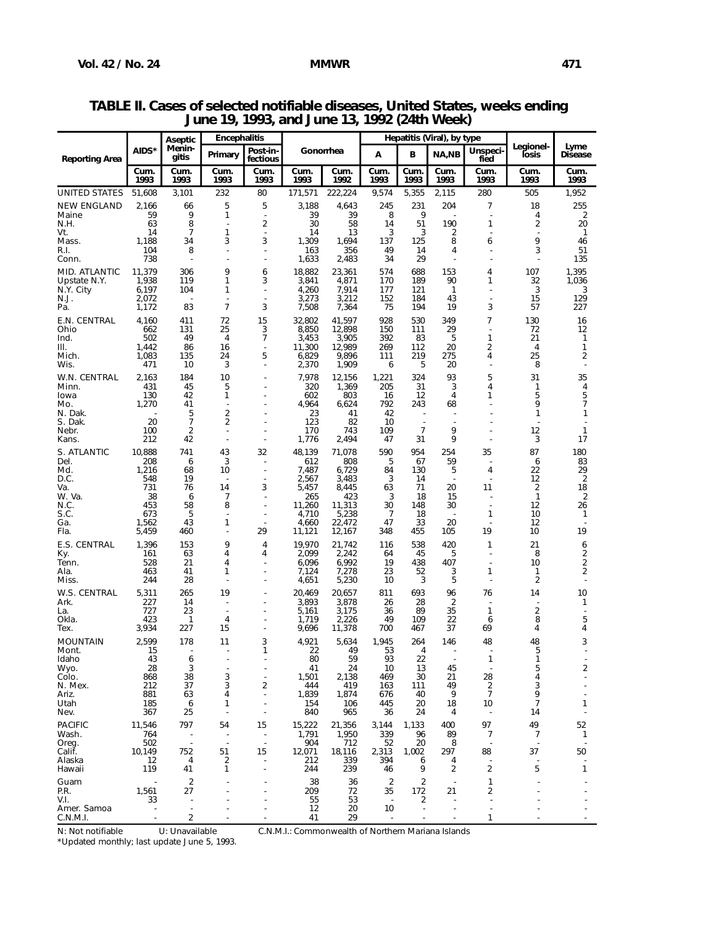| Menin-<br>AIDS*<br>Gonorrhea<br>Post-in-<br>Unspeci-<br>В<br>NA,NB<br>А<br>Primary<br>losis<br>Disease<br>gitis<br><b>Reporting Area</b><br>fectious<br>fied<br>Cum.<br>Cum.<br>Cum.<br>Cum.<br>Cum.<br>Cum.<br>Cum<br>Cum.<br>Cum.<br>Cum.<br>Cum.<br>Cum.<br>1993<br>1993<br>1993<br>1993<br>1993<br>1992<br>1993<br>1993<br>1993<br>1993<br>1993<br>1993<br>51,608<br>3,101<br>232<br>80<br>171,571<br>222,224<br>9,574<br>5,355<br>2,115<br>280<br>505<br>1,952<br>5<br>204<br>18<br>66<br>5<br>3,188<br>4,643<br>245<br>231<br>7<br>255<br>2,166<br>9<br>1<br>39<br>39<br>9<br>2<br>59<br>8<br>4<br>Maine<br>8<br>190<br>63<br>2<br>30<br>58<br>51<br>1<br>2<br>20<br>N.H.<br>14<br>$\overline{7}$<br>1<br>14<br>13<br>3<br>2<br>14<br>3<br>1<br>125<br>8<br>9<br>34<br>3<br>3<br>1,309<br>46<br>Mass.<br>1,188<br>1,694<br>137<br>6<br>49<br>3<br>R.I.<br>104<br>8<br>163<br>356<br>14<br>4<br>51<br>738<br>1,633<br>29<br>135<br>2,483<br>34<br>11,379<br>9<br>306<br>18,882<br>23,361<br>574<br>688<br>153<br>107<br>1,395<br>4<br>6<br>1,938<br>119<br>1<br>3.841<br>4,871<br>170<br>189<br>90<br>1<br>32<br>1,036<br>Upstate N.Y.<br>3<br>6,197<br>104<br>4,260<br>7,914<br>121<br>3<br>N.Y. City<br>1<br>177<br>$\mathbf{1}$<br>3<br>3,273<br>3,212<br>152<br>184<br>43<br>15<br>129<br>2,072<br>7<br>83<br>3<br>7,508<br>194<br>19<br>3<br>57<br>227<br>Pa.<br>1,172<br>7,364<br>75<br>E.N. CENTRAL<br>41,597<br>530<br>4,160<br>72<br>15<br>32,802<br>928<br>349<br>7<br>130<br>411<br>16<br>25<br>3<br>12,898<br>29<br>662<br>131<br>8,850<br>150<br>111<br>72<br>12<br>49<br>$\overline{4}$<br>3,453<br>392<br>83<br>5<br>1<br>502<br>7<br>3,905<br>21<br>$\mathbf{1}$<br>11,300<br>12,989<br>112<br>20<br>2<br>III.<br>1,442<br>86<br>16<br>269<br>4<br>1<br>25<br>1,083<br>135<br>5<br>9,896<br>219<br>275<br>2<br>24<br>6,829<br>111<br>4<br>3<br>5<br>8<br>471<br>10<br>2,370<br>1,909<br>6<br>20<br>7,978<br>93<br>2,163<br>184<br>10<br>12,156<br>1,221<br>324<br>5<br>31<br>35<br>45<br>320<br>31<br>431<br>5<br>1,369<br>205<br>3<br>Minn.<br>4<br>1<br>4<br>5<br>42<br>1<br>602<br>12<br>5<br>130<br>803<br>16<br>4<br>1<br>1,270<br>4,964<br>792<br>243<br>9<br>7<br>41<br>6,624<br>68<br>2<br>5<br>23<br>N. Dak.<br>41<br>42<br>1<br>1<br>7<br>2<br>20<br>123<br>82<br>10<br>$\overline{2}$<br>9<br>170<br>109<br>$\overline{7}$<br>12<br>100<br>743<br>1<br>9<br>42<br>1,776<br>31<br>3<br>17<br>212<br>2,494<br>47<br>Kans.<br>S. ATLANTIC<br>954<br>10,888<br>741<br>43<br>32<br>48,139<br>71,078<br>590<br>254<br>35<br>87<br>180<br>208<br>3<br>612<br>808<br>67<br>59<br>83<br>6<br>5<br>6<br>1,216<br>10<br>7,487<br>6,729<br>130<br>5<br>22<br>29<br>Md.<br>68<br>84<br>4<br>$\overline{2}$<br>D.C.<br>548<br>19<br>2,567<br>3,483<br>3<br>14<br>12<br>$\overline{\phantom{a}}$<br>$\blacksquare$<br>731<br>14<br>5,457<br>71<br>20<br>2<br>18<br>76<br>3<br>8,445<br>63<br>11<br>38<br>265<br>423<br>3<br>18<br>$\mathbf{1}$<br>2<br>W. Va.<br>6<br>7<br>15<br>N.C.<br>453<br>58<br>8<br>11,260<br>11,313<br>30<br>148<br>30<br>12<br>26<br>673<br>5<br>4,710<br>5,238<br>7<br>18<br>1<br>10<br>1<br>$\blacksquare$<br>$\overline{\phantom{a}}$<br>43<br>4,660<br>22,472<br>47<br>33<br>20<br>Ga.<br>1,562<br>1<br>12<br>460<br>29<br>455<br>105<br>19<br>10<br>19<br>5,459<br>11,121<br>12,167<br>348<br>9<br>538<br>420<br>21<br>1,396<br>153<br>19,970<br>21,742<br>116<br>1<br>6<br>4<br>2<br>63<br>2,099<br>2,242<br>45<br>8<br>161<br>4<br>64<br>5<br>4<br>2<br>21<br>6,992<br>19<br>Tenn.<br>528<br>4<br>6,096<br>438<br>407<br>10<br>2<br>463<br>41<br>1<br>7,124<br>7,278<br>23<br>52<br>3<br>1<br>1<br>3<br>5<br>2<br>244<br>28<br>4,651<br>5,230<br>10<br>265<br>W.S. CENTRAL<br>5,311<br>19<br>20,469<br>20,657<br>811<br>693<br>96<br>76<br>14<br>10<br>227<br>14<br>3,893<br>3,878<br>28<br>2<br>Ark.<br>26<br>1<br>727<br>23<br>3,175<br>89<br>35<br>1<br>2<br>5.161<br>36<br>÷,<br>423<br>109<br>22<br>5<br>1,719<br>2.226<br>49<br>8<br>-1<br>4<br>6<br>3,934<br>227<br>9,696<br>700<br>37<br>Tex.<br>15<br>11,378<br>467<br>69<br>4<br>4<br>2,599<br>MOUNTAIN<br>178<br>11<br>3<br>4,921<br>5,634<br>1,945<br>264<br>146<br>48<br>48<br>3<br>22<br>49<br>53<br>5<br>15<br>4<br>43<br>93<br>22<br>1<br>Idaho<br>6<br>80<br>59<br>1<br>3<br>5<br>2<br>28<br>41<br>24<br>10<br>13<br>45<br>Wyo.<br>$\overline{a}$<br>3<br>1,501<br>28<br>868<br>38<br>2,138<br>469<br>30<br>21<br>4<br>$\overline{a}$<br>3<br>$\overline{2}$<br>3<br>37<br>2<br>N. Mex.<br>212<br>444<br>419<br>163<br>111<br>49<br>$\overline{7}$<br>9<br>881<br>63<br>1,839<br>1,874<br>40<br>9<br>Ariz.<br>4<br>676<br>Ĭ.<br>$\overline{7}$<br>154<br>10<br>185<br>6<br>106<br>445<br>20<br>18<br>1<br>1<br>Nev.<br>25<br>840<br>367<br>965<br>36<br>24<br>4<br>14<br><b>PACIFIC</b><br>797<br>15<br>15,222<br>97<br>49<br>11,546<br>54<br>21,356<br>1,133<br>400<br>52<br>3,144<br>1,791<br>1,950<br>764<br>339<br>96<br>89<br>7<br>1<br>7<br>904<br>52<br>20<br>502<br>712<br>8<br>752<br>15<br>37<br>10,149<br>51<br>12,071<br>18,116<br>297<br>88<br>50<br>Calif.<br>2,313<br>1,002<br>2<br>12<br>212<br>339<br>394<br>4<br>6<br>4<br>239<br>$\overline{2}$<br>2<br>5<br>119<br>244<br>9<br>1<br>41<br>1<br>46<br>$\overline{\mathbf{c}}$<br>38<br>2<br>2<br>1<br>36<br>P.R.<br>1,561<br>27<br>209<br>35<br>2<br>72<br>172<br>21<br>33<br>55<br>53<br>2<br>$\overline{a}$<br>$\overline{a}$<br>$\overline{\phantom{a}}$<br>$\overline{a}$<br>Amer. Samoa<br>12<br>20<br>10<br>$\sim$<br>$\blacksquare$<br>$\blacksquare$<br>2<br>1<br>41<br>29<br>$\overline{\phantom{a}}$ |                    | Aseptic | <b>Encephalitis</b> |  |  |  |  | Hepatitis (Viral), by type |           |      |  |
|-----------------------------------------------------------------------------------------------------------------------------------------------------------------------------------------------------------------------------------------------------------------------------------------------------------------------------------------------------------------------------------------------------------------------------------------------------------------------------------------------------------------------------------------------------------------------------------------------------------------------------------------------------------------------------------------------------------------------------------------------------------------------------------------------------------------------------------------------------------------------------------------------------------------------------------------------------------------------------------------------------------------------------------------------------------------------------------------------------------------------------------------------------------------------------------------------------------------------------------------------------------------------------------------------------------------------------------------------------------------------------------------------------------------------------------------------------------------------------------------------------------------------------------------------------------------------------------------------------------------------------------------------------------------------------------------------------------------------------------------------------------------------------------------------------------------------------------------------------------------------------------------------------------------------------------------------------------------------------------------------------------------------------------------------------------------------------------------------------------------------------------------------------------------------------------------------------------------------------------------------------------------------------------------------------------------------------------------------------------------------------------------------------------------------------------------------------------------------------------------------------------------------------------------------------------------------------------------------------------------------------------------------------------------------------------------------------------------------------------------------------------------------------------------------------------------------------------------------------------------------------------------------------------------------------------------------------------------------------------------------------------------------------------------------------------------------------------------------------------------------------------------------------------------------------------------------------------------------------------------------------------------------------------------------------------------------------------------------------------------------------------------------------------------------------------------------------------------------------------------------------------------------------------------------------------------------------------------------------------------------------------------------------------------------------------------------------------------------------------------------------------------------------------------------------------------------------------------------------------------------------------------------------------------------------------------------------------------------------------------------------------------------------------------------------------------------------------------------------------------------------------------------------------------------------------------------------------------------------------------------------------------------------------------------------------------------------------------------------------------------------------------------------------------------------------------------------------------------------------------------------------------------------------------------------------------------------------------------------------------------------------------------------------------------------------------------------------------------------------------------------------------------------------------------------------------------------------------------------------------------------------------------------------------------------------------------------------------------------------------------------------------------------------------------------------------------------------------------------------------------------------------------------------------------------------------------------------------------------------------------------------------------------------------------------------------------------------------------------------------------------------------------------------------------------------------------------------------------------------------------------------------------------------------------------------------------------------------------------|--------------------|---------|---------------------|--|--|--|--|----------------------------|-----------|------|--|
|                                                                                                                                                                                                                                                                                                                                                                                                                                                                                                                                                                                                                                                                                                                                                                                                                                                                                                                                                                                                                                                                                                                                                                                                                                                                                                                                                                                                                                                                                                                                                                                                                                                                                                                                                                                                                                                                                                                                                                                                                                                                                                                                                                                                                                                                                                                                                                                                                                                                                                                                                                                                                                                                                                                                                                                                                                                                                                                                                                                                                                                                                                                                                                                                                                                                                                                                                                                                                                                                                                                                                                                                                                                                                                                                                                                                                                                                                                                                                                                                                                                                                                                                                                                                                                                                                                                                                                                                                                                                                                                                                                                                                                                                                                                                                                                                                                                                                                                                                                                                                                                                                                                                                                                                                                                                                                                                                                                                                                                                                                                                                                                                     |                    |         |                     |  |  |  |  |                            | Legionel- | Lyme |  |
|                                                                                                                                                                                                                                                                                                                                                                                                                                                                                                                                                                                                                                                                                                                                                                                                                                                                                                                                                                                                                                                                                                                                                                                                                                                                                                                                                                                                                                                                                                                                                                                                                                                                                                                                                                                                                                                                                                                                                                                                                                                                                                                                                                                                                                                                                                                                                                                                                                                                                                                                                                                                                                                                                                                                                                                                                                                                                                                                                                                                                                                                                                                                                                                                                                                                                                                                                                                                                                                                                                                                                                                                                                                                                                                                                                                                                                                                                                                                                                                                                                                                                                                                                                                                                                                                                                                                                                                                                                                                                                                                                                                                                                                                                                                                                                                                                                                                                                                                                                                                                                                                                                                                                                                                                                                                                                                                                                                                                                                                                                                                                                                                     |                    |         |                     |  |  |  |  |                            |           |      |  |
|                                                                                                                                                                                                                                                                                                                                                                                                                                                                                                                                                                                                                                                                                                                                                                                                                                                                                                                                                                                                                                                                                                                                                                                                                                                                                                                                                                                                                                                                                                                                                                                                                                                                                                                                                                                                                                                                                                                                                                                                                                                                                                                                                                                                                                                                                                                                                                                                                                                                                                                                                                                                                                                                                                                                                                                                                                                                                                                                                                                                                                                                                                                                                                                                                                                                                                                                                                                                                                                                                                                                                                                                                                                                                                                                                                                                                                                                                                                                                                                                                                                                                                                                                                                                                                                                                                                                                                                                                                                                                                                                                                                                                                                                                                                                                                                                                                                                                                                                                                                                                                                                                                                                                                                                                                                                                                                                                                                                                                                                                                                                                                                                     | UNITED STATES      |         |                     |  |  |  |  |                            |           |      |  |
|                                                                                                                                                                                                                                                                                                                                                                                                                                                                                                                                                                                                                                                                                                                                                                                                                                                                                                                                                                                                                                                                                                                                                                                                                                                                                                                                                                                                                                                                                                                                                                                                                                                                                                                                                                                                                                                                                                                                                                                                                                                                                                                                                                                                                                                                                                                                                                                                                                                                                                                                                                                                                                                                                                                                                                                                                                                                                                                                                                                                                                                                                                                                                                                                                                                                                                                                                                                                                                                                                                                                                                                                                                                                                                                                                                                                                                                                                                                                                                                                                                                                                                                                                                                                                                                                                                                                                                                                                                                                                                                                                                                                                                                                                                                                                                                                                                                                                                                                                                                                                                                                                                                                                                                                                                                                                                                                                                                                                                                                                                                                                                                                     | <b>NEW ENGLAND</b> |         |                     |  |  |  |  |                            |           |      |  |
|                                                                                                                                                                                                                                                                                                                                                                                                                                                                                                                                                                                                                                                                                                                                                                                                                                                                                                                                                                                                                                                                                                                                                                                                                                                                                                                                                                                                                                                                                                                                                                                                                                                                                                                                                                                                                                                                                                                                                                                                                                                                                                                                                                                                                                                                                                                                                                                                                                                                                                                                                                                                                                                                                                                                                                                                                                                                                                                                                                                                                                                                                                                                                                                                                                                                                                                                                                                                                                                                                                                                                                                                                                                                                                                                                                                                                                                                                                                                                                                                                                                                                                                                                                                                                                                                                                                                                                                                                                                                                                                                                                                                                                                                                                                                                                                                                                                                                                                                                                                                                                                                                                                                                                                                                                                                                                                                                                                                                                                                                                                                                                                                     |                    |         |                     |  |  |  |  |                            |           |      |  |
|                                                                                                                                                                                                                                                                                                                                                                                                                                                                                                                                                                                                                                                                                                                                                                                                                                                                                                                                                                                                                                                                                                                                                                                                                                                                                                                                                                                                                                                                                                                                                                                                                                                                                                                                                                                                                                                                                                                                                                                                                                                                                                                                                                                                                                                                                                                                                                                                                                                                                                                                                                                                                                                                                                                                                                                                                                                                                                                                                                                                                                                                                                                                                                                                                                                                                                                                                                                                                                                                                                                                                                                                                                                                                                                                                                                                                                                                                                                                                                                                                                                                                                                                                                                                                                                                                                                                                                                                                                                                                                                                                                                                                                                                                                                                                                                                                                                                                                                                                                                                                                                                                                                                                                                                                                                                                                                                                                                                                                                                                                                                                                                                     | Vt.                |         |                     |  |  |  |  |                            |           |      |  |
|                                                                                                                                                                                                                                                                                                                                                                                                                                                                                                                                                                                                                                                                                                                                                                                                                                                                                                                                                                                                                                                                                                                                                                                                                                                                                                                                                                                                                                                                                                                                                                                                                                                                                                                                                                                                                                                                                                                                                                                                                                                                                                                                                                                                                                                                                                                                                                                                                                                                                                                                                                                                                                                                                                                                                                                                                                                                                                                                                                                                                                                                                                                                                                                                                                                                                                                                                                                                                                                                                                                                                                                                                                                                                                                                                                                                                                                                                                                                                                                                                                                                                                                                                                                                                                                                                                                                                                                                                                                                                                                                                                                                                                                                                                                                                                                                                                                                                                                                                                                                                                                                                                                                                                                                                                                                                                                                                                                                                                                                                                                                                                                                     |                    |         |                     |  |  |  |  |                            |           |      |  |
|                                                                                                                                                                                                                                                                                                                                                                                                                                                                                                                                                                                                                                                                                                                                                                                                                                                                                                                                                                                                                                                                                                                                                                                                                                                                                                                                                                                                                                                                                                                                                                                                                                                                                                                                                                                                                                                                                                                                                                                                                                                                                                                                                                                                                                                                                                                                                                                                                                                                                                                                                                                                                                                                                                                                                                                                                                                                                                                                                                                                                                                                                                                                                                                                                                                                                                                                                                                                                                                                                                                                                                                                                                                                                                                                                                                                                                                                                                                                                                                                                                                                                                                                                                                                                                                                                                                                                                                                                                                                                                                                                                                                                                                                                                                                                                                                                                                                                                                                                                                                                                                                                                                                                                                                                                                                                                                                                                                                                                                                                                                                                                                                     | Conn.              |         |                     |  |  |  |  |                            |           |      |  |
|                                                                                                                                                                                                                                                                                                                                                                                                                                                                                                                                                                                                                                                                                                                                                                                                                                                                                                                                                                                                                                                                                                                                                                                                                                                                                                                                                                                                                                                                                                                                                                                                                                                                                                                                                                                                                                                                                                                                                                                                                                                                                                                                                                                                                                                                                                                                                                                                                                                                                                                                                                                                                                                                                                                                                                                                                                                                                                                                                                                                                                                                                                                                                                                                                                                                                                                                                                                                                                                                                                                                                                                                                                                                                                                                                                                                                                                                                                                                                                                                                                                                                                                                                                                                                                                                                                                                                                                                                                                                                                                                                                                                                                                                                                                                                                                                                                                                                                                                                                                                                                                                                                                                                                                                                                                                                                                                                                                                                                                                                                                                                                                                     | MID. ATLANTIC      |         |                     |  |  |  |  |                            |           |      |  |
|                                                                                                                                                                                                                                                                                                                                                                                                                                                                                                                                                                                                                                                                                                                                                                                                                                                                                                                                                                                                                                                                                                                                                                                                                                                                                                                                                                                                                                                                                                                                                                                                                                                                                                                                                                                                                                                                                                                                                                                                                                                                                                                                                                                                                                                                                                                                                                                                                                                                                                                                                                                                                                                                                                                                                                                                                                                                                                                                                                                                                                                                                                                                                                                                                                                                                                                                                                                                                                                                                                                                                                                                                                                                                                                                                                                                                                                                                                                                                                                                                                                                                                                                                                                                                                                                                                                                                                                                                                                                                                                                                                                                                                                                                                                                                                                                                                                                                                                                                                                                                                                                                                                                                                                                                                                                                                                                                                                                                                                                                                                                                                                                     |                    |         |                     |  |  |  |  |                            |           |      |  |
|                                                                                                                                                                                                                                                                                                                                                                                                                                                                                                                                                                                                                                                                                                                                                                                                                                                                                                                                                                                                                                                                                                                                                                                                                                                                                                                                                                                                                                                                                                                                                                                                                                                                                                                                                                                                                                                                                                                                                                                                                                                                                                                                                                                                                                                                                                                                                                                                                                                                                                                                                                                                                                                                                                                                                                                                                                                                                                                                                                                                                                                                                                                                                                                                                                                                                                                                                                                                                                                                                                                                                                                                                                                                                                                                                                                                                                                                                                                                                                                                                                                                                                                                                                                                                                                                                                                                                                                                                                                                                                                                                                                                                                                                                                                                                                                                                                                                                                                                                                                                                                                                                                                                                                                                                                                                                                                                                                                                                                                                                                                                                                                                     | N.J.               |         |                     |  |  |  |  |                            |           |      |  |
|                                                                                                                                                                                                                                                                                                                                                                                                                                                                                                                                                                                                                                                                                                                                                                                                                                                                                                                                                                                                                                                                                                                                                                                                                                                                                                                                                                                                                                                                                                                                                                                                                                                                                                                                                                                                                                                                                                                                                                                                                                                                                                                                                                                                                                                                                                                                                                                                                                                                                                                                                                                                                                                                                                                                                                                                                                                                                                                                                                                                                                                                                                                                                                                                                                                                                                                                                                                                                                                                                                                                                                                                                                                                                                                                                                                                                                                                                                                                                                                                                                                                                                                                                                                                                                                                                                                                                                                                                                                                                                                                                                                                                                                                                                                                                                                                                                                                                                                                                                                                                                                                                                                                                                                                                                                                                                                                                                                                                                                                                                                                                                                                     |                    |         |                     |  |  |  |  |                            |           |      |  |
|                                                                                                                                                                                                                                                                                                                                                                                                                                                                                                                                                                                                                                                                                                                                                                                                                                                                                                                                                                                                                                                                                                                                                                                                                                                                                                                                                                                                                                                                                                                                                                                                                                                                                                                                                                                                                                                                                                                                                                                                                                                                                                                                                                                                                                                                                                                                                                                                                                                                                                                                                                                                                                                                                                                                                                                                                                                                                                                                                                                                                                                                                                                                                                                                                                                                                                                                                                                                                                                                                                                                                                                                                                                                                                                                                                                                                                                                                                                                                                                                                                                                                                                                                                                                                                                                                                                                                                                                                                                                                                                                                                                                                                                                                                                                                                                                                                                                                                                                                                                                                                                                                                                                                                                                                                                                                                                                                                                                                                                                                                                                                                                                     | Ohio               |         |                     |  |  |  |  |                            |           |      |  |
|                                                                                                                                                                                                                                                                                                                                                                                                                                                                                                                                                                                                                                                                                                                                                                                                                                                                                                                                                                                                                                                                                                                                                                                                                                                                                                                                                                                                                                                                                                                                                                                                                                                                                                                                                                                                                                                                                                                                                                                                                                                                                                                                                                                                                                                                                                                                                                                                                                                                                                                                                                                                                                                                                                                                                                                                                                                                                                                                                                                                                                                                                                                                                                                                                                                                                                                                                                                                                                                                                                                                                                                                                                                                                                                                                                                                                                                                                                                                                                                                                                                                                                                                                                                                                                                                                                                                                                                                                                                                                                                                                                                                                                                                                                                                                                                                                                                                                                                                                                                                                                                                                                                                                                                                                                                                                                                                                                                                                                                                                                                                                                                                     | Ind.               |         |                     |  |  |  |  |                            |           |      |  |
|                                                                                                                                                                                                                                                                                                                                                                                                                                                                                                                                                                                                                                                                                                                                                                                                                                                                                                                                                                                                                                                                                                                                                                                                                                                                                                                                                                                                                                                                                                                                                                                                                                                                                                                                                                                                                                                                                                                                                                                                                                                                                                                                                                                                                                                                                                                                                                                                                                                                                                                                                                                                                                                                                                                                                                                                                                                                                                                                                                                                                                                                                                                                                                                                                                                                                                                                                                                                                                                                                                                                                                                                                                                                                                                                                                                                                                                                                                                                                                                                                                                                                                                                                                                                                                                                                                                                                                                                                                                                                                                                                                                                                                                                                                                                                                                                                                                                                                                                                                                                                                                                                                                                                                                                                                                                                                                                                                                                                                                                                                                                                                                                     | Mich.              |         |                     |  |  |  |  |                            |           |      |  |
|                                                                                                                                                                                                                                                                                                                                                                                                                                                                                                                                                                                                                                                                                                                                                                                                                                                                                                                                                                                                                                                                                                                                                                                                                                                                                                                                                                                                                                                                                                                                                                                                                                                                                                                                                                                                                                                                                                                                                                                                                                                                                                                                                                                                                                                                                                                                                                                                                                                                                                                                                                                                                                                                                                                                                                                                                                                                                                                                                                                                                                                                                                                                                                                                                                                                                                                                                                                                                                                                                                                                                                                                                                                                                                                                                                                                                                                                                                                                                                                                                                                                                                                                                                                                                                                                                                                                                                                                                                                                                                                                                                                                                                                                                                                                                                                                                                                                                                                                                                                                                                                                                                                                                                                                                                                                                                                                                                                                                                                                                                                                                                                                     | Wis.               |         |                     |  |  |  |  |                            |           |      |  |
|                                                                                                                                                                                                                                                                                                                                                                                                                                                                                                                                                                                                                                                                                                                                                                                                                                                                                                                                                                                                                                                                                                                                                                                                                                                                                                                                                                                                                                                                                                                                                                                                                                                                                                                                                                                                                                                                                                                                                                                                                                                                                                                                                                                                                                                                                                                                                                                                                                                                                                                                                                                                                                                                                                                                                                                                                                                                                                                                                                                                                                                                                                                                                                                                                                                                                                                                                                                                                                                                                                                                                                                                                                                                                                                                                                                                                                                                                                                                                                                                                                                                                                                                                                                                                                                                                                                                                                                                                                                                                                                                                                                                                                                                                                                                                                                                                                                                                                                                                                                                                                                                                                                                                                                                                                                                                                                                                                                                                                                                                                                                                                                                     | w.n. central       |         |                     |  |  |  |  |                            |           |      |  |
|                                                                                                                                                                                                                                                                                                                                                                                                                                                                                                                                                                                                                                                                                                                                                                                                                                                                                                                                                                                                                                                                                                                                                                                                                                                                                                                                                                                                                                                                                                                                                                                                                                                                                                                                                                                                                                                                                                                                                                                                                                                                                                                                                                                                                                                                                                                                                                                                                                                                                                                                                                                                                                                                                                                                                                                                                                                                                                                                                                                                                                                                                                                                                                                                                                                                                                                                                                                                                                                                                                                                                                                                                                                                                                                                                                                                                                                                                                                                                                                                                                                                                                                                                                                                                                                                                                                                                                                                                                                                                                                                                                                                                                                                                                                                                                                                                                                                                                                                                                                                                                                                                                                                                                                                                                                                                                                                                                                                                                                                                                                                                                                                     | Iowa               |         |                     |  |  |  |  |                            |           |      |  |
|                                                                                                                                                                                                                                                                                                                                                                                                                                                                                                                                                                                                                                                                                                                                                                                                                                                                                                                                                                                                                                                                                                                                                                                                                                                                                                                                                                                                                                                                                                                                                                                                                                                                                                                                                                                                                                                                                                                                                                                                                                                                                                                                                                                                                                                                                                                                                                                                                                                                                                                                                                                                                                                                                                                                                                                                                                                                                                                                                                                                                                                                                                                                                                                                                                                                                                                                                                                                                                                                                                                                                                                                                                                                                                                                                                                                                                                                                                                                                                                                                                                                                                                                                                                                                                                                                                                                                                                                                                                                                                                                                                                                                                                                                                                                                                                                                                                                                                                                                                                                                                                                                                                                                                                                                                                                                                                                                                                                                                                                                                                                                                                                     | Mo.                |         |                     |  |  |  |  |                            |           |      |  |
|                                                                                                                                                                                                                                                                                                                                                                                                                                                                                                                                                                                                                                                                                                                                                                                                                                                                                                                                                                                                                                                                                                                                                                                                                                                                                                                                                                                                                                                                                                                                                                                                                                                                                                                                                                                                                                                                                                                                                                                                                                                                                                                                                                                                                                                                                                                                                                                                                                                                                                                                                                                                                                                                                                                                                                                                                                                                                                                                                                                                                                                                                                                                                                                                                                                                                                                                                                                                                                                                                                                                                                                                                                                                                                                                                                                                                                                                                                                                                                                                                                                                                                                                                                                                                                                                                                                                                                                                                                                                                                                                                                                                                                                                                                                                                                                                                                                                                                                                                                                                                                                                                                                                                                                                                                                                                                                                                                                                                                                                                                                                                                                                     | S. Dak.            |         |                     |  |  |  |  |                            |           |      |  |
|                                                                                                                                                                                                                                                                                                                                                                                                                                                                                                                                                                                                                                                                                                                                                                                                                                                                                                                                                                                                                                                                                                                                                                                                                                                                                                                                                                                                                                                                                                                                                                                                                                                                                                                                                                                                                                                                                                                                                                                                                                                                                                                                                                                                                                                                                                                                                                                                                                                                                                                                                                                                                                                                                                                                                                                                                                                                                                                                                                                                                                                                                                                                                                                                                                                                                                                                                                                                                                                                                                                                                                                                                                                                                                                                                                                                                                                                                                                                                                                                                                                                                                                                                                                                                                                                                                                                                                                                                                                                                                                                                                                                                                                                                                                                                                                                                                                                                                                                                                                                                                                                                                                                                                                                                                                                                                                                                                                                                                                                                                                                                                                                     | Nebr.              |         |                     |  |  |  |  |                            |           |      |  |
|                                                                                                                                                                                                                                                                                                                                                                                                                                                                                                                                                                                                                                                                                                                                                                                                                                                                                                                                                                                                                                                                                                                                                                                                                                                                                                                                                                                                                                                                                                                                                                                                                                                                                                                                                                                                                                                                                                                                                                                                                                                                                                                                                                                                                                                                                                                                                                                                                                                                                                                                                                                                                                                                                                                                                                                                                                                                                                                                                                                                                                                                                                                                                                                                                                                                                                                                                                                                                                                                                                                                                                                                                                                                                                                                                                                                                                                                                                                                                                                                                                                                                                                                                                                                                                                                                                                                                                                                                                                                                                                                                                                                                                                                                                                                                                                                                                                                                                                                                                                                                                                                                                                                                                                                                                                                                                                                                                                                                                                                                                                                                                                                     |                    |         |                     |  |  |  |  |                            |           |      |  |
|                                                                                                                                                                                                                                                                                                                                                                                                                                                                                                                                                                                                                                                                                                                                                                                                                                                                                                                                                                                                                                                                                                                                                                                                                                                                                                                                                                                                                                                                                                                                                                                                                                                                                                                                                                                                                                                                                                                                                                                                                                                                                                                                                                                                                                                                                                                                                                                                                                                                                                                                                                                                                                                                                                                                                                                                                                                                                                                                                                                                                                                                                                                                                                                                                                                                                                                                                                                                                                                                                                                                                                                                                                                                                                                                                                                                                                                                                                                                                                                                                                                                                                                                                                                                                                                                                                                                                                                                                                                                                                                                                                                                                                                                                                                                                                                                                                                                                                                                                                                                                                                                                                                                                                                                                                                                                                                                                                                                                                                                                                                                                                                                     | Del.               |         |                     |  |  |  |  |                            |           |      |  |
|                                                                                                                                                                                                                                                                                                                                                                                                                                                                                                                                                                                                                                                                                                                                                                                                                                                                                                                                                                                                                                                                                                                                                                                                                                                                                                                                                                                                                                                                                                                                                                                                                                                                                                                                                                                                                                                                                                                                                                                                                                                                                                                                                                                                                                                                                                                                                                                                                                                                                                                                                                                                                                                                                                                                                                                                                                                                                                                                                                                                                                                                                                                                                                                                                                                                                                                                                                                                                                                                                                                                                                                                                                                                                                                                                                                                                                                                                                                                                                                                                                                                                                                                                                                                                                                                                                                                                                                                                                                                                                                                                                                                                                                                                                                                                                                                                                                                                                                                                                                                                                                                                                                                                                                                                                                                                                                                                                                                                                                                                                                                                                                                     |                    |         |                     |  |  |  |  |                            |           |      |  |
|                                                                                                                                                                                                                                                                                                                                                                                                                                                                                                                                                                                                                                                                                                                                                                                                                                                                                                                                                                                                                                                                                                                                                                                                                                                                                                                                                                                                                                                                                                                                                                                                                                                                                                                                                                                                                                                                                                                                                                                                                                                                                                                                                                                                                                                                                                                                                                                                                                                                                                                                                                                                                                                                                                                                                                                                                                                                                                                                                                                                                                                                                                                                                                                                                                                                                                                                                                                                                                                                                                                                                                                                                                                                                                                                                                                                                                                                                                                                                                                                                                                                                                                                                                                                                                                                                                                                                                                                                                                                                                                                                                                                                                                                                                                                                                                                                                                                                                                                                                                                                                                                                                                                                                                                                                                                                                                                                                                                                                                                                                                                                                                                     | Va.                |         |                     |  |  |  |  |                            |           |      |  |
|                                                                                                                                                                                                                                                                                                                                                                                                                                                                                                                                                                                                                                                                                                                                                                                                                                                                                                                                                                                                                                                                                                                                                                                                                                                                                                                                                                                                                                                                                                                                                                                                                                                                                                                                                                                                                                                                                                                                                                                                                                                                                                                                                                                                                                                                                                                                                                                                                                                                                                                                                                                                                                                                                                                                                                                                                                                                                                                                                                                                                                                                                                                                                                                                                                                                                                                                                                                                                                                                                                                                                                                                                                                                                                                                                                                                                                                                                                                                                                                                                                                                                                                                                                                                                                                                                                                                                                                                                                                                                                                                                                                                                                                                                                                                                                                                                                                                                                                                                                                                                                                                                                                                                                                                                                                                                                                                                                                                                                                                                                                                                                                                     |                    |         |                     |  |  |  |  |                            |           |      |  |
|                                                                                                                                                                                                                                                                                                                                                                                                                                                                                                                                                                                                                                                                                                                                                                                                                                                                                                                                                                                                                                                                                                                                                                                                                                                                                                                                                                                                                                                                                                                                                                                                                                                                                                                                                                                                                                                                                                                                                                                                                                                                                                                                                                                                                                                                                                                                                                                                                                                                                                                                                                                                                                                                                                                                                                                                                                                                                                                                                                                                                                                                                                                                                                                                                                                                                                                                                                                                                                                                                                                                                                                                                                                                                                                                                                                                                                                                                                                                                                                                                                                                                                                                                                                                                                                                                                                                                                                                                                                                                                                                                                                                                                                                                                                                                                                                                                                                                                                                                                                                                                                                                                                                                                                                                                                                                                                                                                                                                                                                                                                                                                                                     | S.C.               |         |                     |  |  |  |  |                            |           |      |  |
|                                                                                                                                                                                                                                                                                                                                                                                                                                                                                                                                                                                                                                                                                                                                                                                                                                                                                                                                                                                                                                                                                                                                                                                                                                                                                                                                                                                                                                                                                                                                                                                                                                                                                                                                                                                                                                                                                                                                                                                                                                                                                                                                                                                                                                                                                                                                                                                                                                                                                                                                                                                                                                                                                                                                                                                                                                                                                                                                                                                                                                                                                                                                                                                                                                                                                                                                                                                                                                                                                                                                                                                                                                                                                                                                                                                                                                                                                                                                                                                                                                                                                                                                                                                                                                                                                                                                                                                                                                                                                                                                                                                                                                                                                                                                                                                                                                                                                                                                                                                                                                                                                                                                                                                                                                                                                                                                                                                                                                                                                                                                                                                                     | Fla.               |         |                     |  |  |  |  |                            |           |      |  |
|                                                                                                                                                                                                                                                                                                                                                                                                                                                                                                                                                                                                                                                                                                                                                                                                                                                                                                                                                                                                                                                                                                                                                                                                                                                                                                                                                                                                                                                                                                                                                                                                                                                                                                                                                                                                                                                                                                                                                                                                                                                                                                                                                                                                                                                                                                                                                                                                                                                                                                                                                                                                                                                                                                                                                                                                                                                                                                                                                                                                                                                                                                                                                                                                                                                                                                                                                                                                                                                                                                                                                                                                                                                                                                                                                                                                                                                                                                                                                                                                                                                                                                                                                                                                                                                                                                                                                                                                                                                                                                                                                                                                                                                                                                                                                                                                                                                                                                                                                                                                                                                                                                                                                                                                                                                                                                                                                                                                                                                                                                                                                                                                     | e.s. central       |         |                     |  |  |  |  |                            |           |      |  |
|                                                                                                                                                                                                                                                                                                                                                                                                                                                                                                                                                                                                                                                                                                                                                                                                                                                                                                                                                                                                                                                                                                                                                                                                                                                                                                                                                                                                                                                                                                                                                                                                                                                                                                                                                                                                                                                                                                                                                                                                                                                                                                                                                                                                                                                                                                                                                                                                                                                                                                                                                                                                                                                                                                                                                                                                                                                                                                                                                                                                                                                                                                                                                                                                                                                                                                                                                                                                                                                                                                                                                                                                                                                                                                                                                                                                                                                                                                                                                                                                                                                                                                                                                                                                                                                                                                                                                                                                                                                                                                                                                                                                                                                                                                                                                                                                                                                                                                                                                                                                                                                                                                                                                                                                                                                                                                                                                                                                                                                                                                                                                                                                     | Ky.                |         |                     |  |  |  |  |                            |           |      |  |
|                                                                                                                                                                                                                                                                                                                                                                                                                                                                                                                                                                                                                                                                                                                                                                                                                                                                                                                                                                                                                                                                                                                                                                                                                                                                                                                                                                                                                                                                                                                                                                                                                                                                                                                                                                                                                                                                                                                                                                                                                                                                                                                                                                                                                                                                                                                                                                                                                                                                                                                                                                                                                                                                                                                                                                                                                                                                                                                                                                                                                                                                                                                                                                                                                                                                                                                                                                                                                                                                                                                                                                                                                                                                                                                                                                                                                                                                                                                                                                                                                                                                                                                                                                                                                                                                                                                                                                                                                                                                                                                                                                                                                                                                                                                                                                                                                                                                                                                                                                                                                                                                                                                                                                                                                                                                                                                                                                                                                                                                                                                                                                                                     | Ala.               |         |                     |  |  |  |  |                            |           |      |  |
|                                                                                                                                                                                                                                                                                                                                                                                                                                                                                                                                                                                                                                                                                                                                                                                                                                                                                                                                                                                                                                                                                                                                                                                                                                                                                                                                                                                                                                                                                                                                                                                                                                                                                                                                                                                                                                                                                                                                                                                                                                                                                                                                                                                                                                                                                                                                                                                                                                                                                                                                                                                                                                                                                                                                                                                                                                                                                                                                                                                                                                                                                                                                                                                                                                                                                                                                                                                                                                                                                                                                                                                                                                                                                                                                                                                                                                                                                                                                                                                                                                                                                                                                                                                                                                                                                                                                                                                                                                                                                                                                                                                                                                                                                                                                                                                                                                                                                                                                                                                                                                                                                                                                                                                                                                                                                                                                                                                                                                                                                                                                                                                                     | Miss.              |         |                     |  |  |  |  |                            |           |      |  |
|                                                                                                                                                                                                                                                                                                                                                                                                                                                                                                                                                                                                                                                                                                                                                                                                                                                                                                                                                                                                                                                                                                                                                                                                                                                                                                                                                                                                                                                                                                                                                                                                                                                                                                                                                                                                                                                                                                                                                                                                                                                                                                                                                                                                                                                                                                                                                                                                                                                                                                                                                                                                                                                                                                                                                                                                                                                                                                                                                                                                                                                                                                                                                                                                                                                                                                                                                                                                                                                                                                                                                                                                                                                                                                                                                                                                                                                                                                                                                                                                                                                                                                                                                                                                                                                                                                                                                                                                                                                                                                                                                                                                                                                                                                                                                                                                                                                                                                                                                                                                                                                                                                                                                                                                                                                                                                                                                                                                                                                                                                                                                                                                     |                    |         |                     |  |  |  |  |                            |           |      |  |
|                                                                                                                                                                                                                                                                                                                                                                                                                                                                                                                                                                                                                                                                                                                                                                                                                                                                                                                                                                                                                                                                                                                                                                                                                                                                                                                                                                                                                                                                                                                                                                                                                                                                                                                                                                                                                                                                                                                                                                                                                                                                                                                                                                                                                                                                                                                                                                                                                                                                                                                                                                                                                                                                                                                                                                                                                                                                                                                                                                                                                                                                                                                                                                                                                                                                                                                                                                                                                                                                                                                                                                                                                                                                                                                                                                                                                                                                                                                                                                                                                                                                                                                                                                                                                                                                                                                                                                                                                                                                                                                                                                                                                                                                                                                                                                                                                                                                                                                                                                                                                                                                                                                                                                                                                                                                                                                                                                                                                                                                                                                                                                                                     | La.                |         |                     |  |  |  |  |                            |           |      |  |
|                                                                                                                                                                                                                                                                                                                                                                                                                                                                                                                                                                                                                                                                                                                                                                                                                                                                                                                                                                                                                                                                                                                                                                                                                                                                                                                                                                                                                                                                                                                                                                                                                                                                                                                                                                                                                                                                                                                                                                                                                                                                                                                                                                                                                                                                                                                                                                                                                                                                                                                                                                                                                                                                                                                                                                                                                                                                                                                                                                                                                                                                                                                                                                                                                                                                                                                                                                                                                                                                                                                                                                                                                                                                                                                                                                                                                                                                                                                                                                                                                                                                                                                                                                                                                                                                                                                                                                                                                                                                                                                                                                                                                                                                                                                                                                                                                                                                                                                                                                                                                                                                                                                                                                                                                                                                                                                                                                                                                                                                                                                                                                                                     | Okla.              |         |                     |  |  |  |  |                            |           |      |  |
|                                                                                                                                                                                                                                                                                                                                                                                                                                                                                                                                                                                                                                                                                                                                                                                                                                                                                                                                                                                                                                                                                                                                                                                                                                                                                                                                                                                                                                                                                                                                                                                                                                                                                                                                                                                                                                                                                                                                                                                                                                                                                                                                                                                                                                                                                                                                                                                                                                                                                                                                                                                                                                                                                                                                                                                                                                                                                                                                                                                                                                                                                                                                                                                                                                                                                                                                                                                                                                                                                                                                                                                                                                                                                                                                                                                                                                                                                                                                                                                                                                                                                                                                                                                                                                                                                                                                                                                                                                                                                                                                                                                                                                                                                                                                                                                                                                                                                                                                                                                                                                                                                                                                                                                                                                                                                                                                                                                                                                                                                                                                                                                                     |                    |         |                     |  |  |  |  |                            |           |      |  |
|                                                                                                                                                                                                                                                                                                                                                                                                                                                                                                                                                                                                                                                                                                                                                                                                                                                                                                                                                                                                                                                                                                                                                                                                                                                                                                                                                                                                                                                                                                                                                                                                                                                                                                                                                                                                                                                                                                                                                                                                                                                                                                                                                                                                                                                                                                                                                                                                                                                                                                                                                                                                                                                                                                                                                                                                                                                                                                                                                                                                                                                                                                                                                                                                                                                                                                                                                                                                                                                                                                                                                                                                                                                                                                                                                                                                                                                                                                                                                                                                                                                                                                                                                                                                                                                                                                                                                                                                                                                                                                                                                                                                                                                                                                                                                                                                                                                                                                                                                                                                                                                                                                                                                                                                                                                                                                                                                                                                                                                                                                                                                                                                     | Mont.              |         |                     |  |  |  |  |                            |           |      |  |
|                                                                                                                                                                                                                                                                                                                                                                                                                                                                                                                                                                                                                                                                                                                                                                                                                                                                                                                                                                                                                                                                                                                                                                                                                                                                                                                                                                                                                                                                                                                                                                                                                                                                                                                                                                                                                                                                                                                                                                                                                                                                                                                                                                                                                                                                                                                                                                                                                                                                                                                                                                                                                                                                                                                                                                                                                                                                                                                                                                                                                                                                                                                                                                                                                                                                                                                                                                                                                                                                                                                                                                                                                                                                                                                                                                                                                                                                                                                                                                                                                                                                                                                                                                                                                                                                                                                                                                                                                                                                                                                                                                                                                                                                                                                                                                                                                                                                                                                                                                                                                                                                                                                                                                                                                                                                                                                                                                                                                                                                                                                                                                                                     |                    |         |                     |  |  |  |  |                            |           |      |  |
|                                                                                                                                                                                                                                                                                                                                                                                                                                                                                                                                                                                                                                                                                                                                                                                                                                                                                                                                                                                                                                                                                                                                                                                                                                                                                                                                                                                                                                                                                                                                                                                                                                                                                                                                                                                                                                                                                                                                                                                                                                                                                                                                                                                                                                                                                                                                                                                                                                                                                                                                                                                                                                                                                                                                                                                                                                                                                                                                                                                                                                                                                                                                                                                                                                                                                                                                                                                                                                                                                                                                                                                                                                                                                                                                                                                                                                                                                                                                                                                                                                                                                                                                                                                                                                                                                                                                                                                                                                                                                                                                                                                                                                                                                                                                                                                                                                                                                                                                                                                                                                                                                                                                                                                                                                                                                                                                                                                                                                                                                                                                                                                                     | Colo.              |         |                     |  |  |  |  |                            |           |      |  |
|                                                                                                                                                                                                                                                                                                                                                                                                                                                                                                                                                                                                                                                                                                                                                                                                                                                                                                                                                                                                                                                                                                                                                                                                                                                                                                                                                                                                                                                                                                                                                                                                                                                                                                                                                                                                                                                                                                                                                                                                                                                                                                                                                                                                                                                                                                                                                                                                                                                                                                                                                                                                                                                                                                                                                                                                                                                                                                                                                                                                                                                                                                                                                                                                                                                                                                                                                                                                                                                                                                                                                                                                                                                                                                                                                                                                                                                                                                                                                                                                                                                                                                                                                                                                                                                                                                                                                                                                                                                                                                                                                                                                                                                                                                                                                                                                                                                                                                                                                                                                                                                                                                                                                                                                                                                                                                                                                                                                                                                                                                                                                                                                     |                    |         |                     |  |  |  |  |                            |           |      |  |
|                                                                                                                                                                                                                                                                                                                                                                                                                                                                                                                                                                                                                                                                                                                                                                                                                                                                                                                                                                                                                                                                                                                                                                                                                                                                                                                                                                                                                                                                                                                                                                                                                                                                                                                                                                                                                                                                                                                                                                                                                                                                                                                                                                                                                                                                                                                                                                                                                                                                                                                                                                                                                                                                                                                                                                                                                                                                                                                                                                                                                                                                                                                                                                                                                                                                                                                                                                                                                                                                                                                                                                                                                                                                                                                                                                                                                                                                                                                                                                                                                                                                                                                                                                                                                                                                                                                                                                                                                                                                                                                                                                                                                                                                                                                                                                                                                                                                                                                                                                                                                                                                                                                                                                                                                                                                                                                                                                                                                                                                                                                                                                                                     | Utah               |         |                     |  |  |  |  |                            |           |      |  |
|                                                                                                                                                                                                                                                                                                                                                                                                                                                                                                                                                                                                                                                                                                                                                                                                                                                                                                                                                                                                                                                                                                                                                                                                                                                                                                                                                                                                                                                                                                                                                                                                                                                                                                                                                                                                                                                                                                                                                                                                                                                                                                                                                                                                                                                                                                                                                                                                                                                                                                                                                                                                                                                                                                                                                                                                                                                                                                                                                                                                                                                                                                                                                                                                                                                                                                                                                                                                                                                                                                                                                                                                                                                                                                                                                                                                                                                                                                                                                                                                                                                                                                                                                                                                                                                                                                                                                                                                                                                                                                                                                                                                                                                                                                                                                                                                                                                                                                                                                                                                                                                                                                                                                                                                                                                                                                                                                                                                                                                                                                                                                                                                     |                    |         |                     |  |  |  |  |                            |           |      |  |
|                                                                                                                                                                                                                                                                                                                                                                                                                                                                                                                                                                                                                                                                                                                                                                                                                                                                                                                                                                                                                                                                                                                                                                                                                                                                                                                                                                                                                                                                                                                                                                                                                                                                                                                                                                                                                                                                                                                                                                                                                                                                                                                                                                                                                                                                                                                                                                                                                                                                                                                                                                                                                                                                                                                                                                                                                                                                                                                                                                                                                                                                                                                                                                                                                                                                                                                                                                                                                                                                                                                                                                                                                                                                                                                                                                                                                                                                                                                                                                                                                                                                                                                                                                                                                                                                                                                                                                                                                                                                                                                                                                                                                                                                                                                                                                                                                                                                                                                                                                                                                                                                                                                                                                                                                                                                                                                                                                                                                                                                                                                                                                                                     | Wash.              |         |                     |  |  |  |  |                            |           |      |  |
|                                                                                                                                                                                                                                                                                                                                                                                                                                                                                                                                                                                                                                                                                                                                                                                                                                                                                                                                                                                                                                                                                                                                                                                                                                                                                                                                                                                                                                                                                                                                                                                                                                                                                                                                                                                                                                                                                                                                                                                                                                                                                                                                                                                                                                                                                                                                                                                                                                                                                                                                                                                                                                                                                                                                                                                                                                                                                                                                                                                                                                                                                                                                                                                                                                                                                                                                                                                                                                                                                                                                                                                                                                                                                                                                                                                                                                                                                                                                                                                                                                                                                                                                                                                                                                                                                                                                                                                                                                                                                                                                                                                                                                                                                                                                                                                                                                                                                                                                                                                                                                                                                                                                                                                                                                                                                                                                                                                                                                                                                                                                                                                                     | Oreg.              |         |                     |  |  |  |  |                            |           |      |  |
|                                                                                                                                                                                                                                                                                                                                                                                                                                                                                                                                                                                                                                                                                                                                                                                                                                                                                                                                                                                                                                                                                                                                                                                                                                                                                                                                                                                                                                                                                                                                                                                                                                                                                                                                                                                                                                                                                                                                                                                                                                                                                                                                                                                                                                                                                                                                                                                                                                                                                                                                                                                                                                                                                                                                                                                                                                                                                                                                                                                                                                                                                                                                                                                                                                                                                                                                                                                                                                                                                                                                                                                                                                                                                                                                                                                                                                                                                                                                                                                                                                                                                                                                                                                                                                                                                                                                                                                                                                                                                                                                                                                                                                                                                                                                                                                                                                                                                                                                                                                                                                                                                                                                                                                                                                                                                                                                                                                                                                                                                                                                                                                                     | Alaska             |         |                     |  |  |  |  |                            |           |      |  |
|                                                                                                                                                                                                                                                                                                                                                                                                                                                                                                                                                                                                                                                                                                                                                                                                                                                                                                                                                                                                                                                                                                                                                                                                                                                                                                                                                                                                                                                                                                                                                                                                                                                                                                                                                                                                                                                                                                                                                                                                                                                                                                                                                                                                                                                                                                                                                                                                                                                                                                                                                                                                                                                                                                                                                                                                                                                                                                                                                                                                                                                                                                                                                                                                                                                                                                                                                                                                                                                                                                                                                                                                                                                                                                                                                                                                                                                                                                                                                                                                                                                                                                                                                                                                                                                                                                                                                                                                                                                                                                                                                                                                                                                                                                                                                                                                                                                                                                                                                                                                                                                                                                                                                                                                                                                                                                                                                                                                                                                                                                                                                                                                     | Hawaii             |         |                     |  |  |  |  |                            |           |      |  |
|                                                                                                                                                                                                                                                                                                                                                                                                                                                                                                                                                                                                                                                                                                                                                                                                                                                                                                                                                                                                                                                                                                                                                                                                                                                                                                                                                                                                                                                                                                                                                                                                                                                                                                                                                                                                                                                                                                                                                                                                                                                                                                                                                                                                                                                                                                                                                                                                                                                                                                                                                                                                                                                                                                                                                                                                                                                                                                                                                                                                                                                                                                                                                                                                                                                                                                                                                                                                                                                                                                                                                                                                                                                                                                                                                                                                                                                                                                                                                                                                                                                                                                                                                                                                                                                                                                                                                                                                                                                                                                                                                                                                                                                                                                                                                                                                                                                                                                                                                                                                                                                                                                                                                                                                                                                                                                                                                                                                                                                                                                                                                                                                     | Guam               |         |                     |  |  |  |  |                            |           |      |  |
|                                                                                                                                                                                                                                                                                                                                                                                                                                                                                                                                                                                                                                                                                                                                                                                                                                                                                                                                                                                                                                                                                                                                                                                                                                                                                                                                                                                                                                                                                                                                                                                                                                                                                                                                                                                                                                                                                                                                                                                                                                                                                                                                                                                                                                                                                                                                                                                                                                                                                                                                                                                                                                                                                                                                                                                                                                                                                                                                                                                                                                                                                                                                                                                                                                                                                                                                                                                                                                                                                                                                                                                                                                                                                                                                                                                                                                                                                                                                                                                                                                                                                                                                                                                                                                                                                                                                                                                                                                                                                                                                                                                                                                                                                                                                                                                                                                                                                                                                                                                                                                                                                                                                                                                                                                                                                                                                                                                                                                                                                                                                                                                                     | V.I.               |         |                     |  |  |  |  |                            |           |      |  |
|                                                                                                                                                                                                                                                                                                                                                                                                                                                                                                                                                                                                                                                                                                                                                                                                                                                                                                                                                                                                                                                                                                                                                                                                                                                                                                                                                                                                                                                                                                                                                                                                                                                                                                                                                                                                                                                                                                                                                                                                                                                                                                                                                                                                                                                                                                                                                                                                                                                                                                                                                                                                                                                                                                                                                                                                                                                                                                                                                                                                                                                                                                                                                                                                                                                                                                                                                                                                                                                                                                                                                                                                                                                                                                                                                                                                                                                                                                                                                                                                                                                                                                                                                                                                                                                                                                                                                                                                                                                                                                                                                                                                                                                                                                                                                                                                                                                                                                                                                                                                                                                                                                                                                                                                                                                                                                                                                                                                                                                                                                                                                                                                     | C.N.M.I.           |         |                     |  |  |  |  |                            |           |      |  |

### **TABLE II. Cases of selected notifiable diseases, United States, weeks ending June 19, 1993, and June 13, 1992 (24th Week)**

\*Updated monthly; last update June 5, 1993.

N: Not notifiable U: Unavailable C.N.M.I.: Commonwealth of Northern Mariana Islands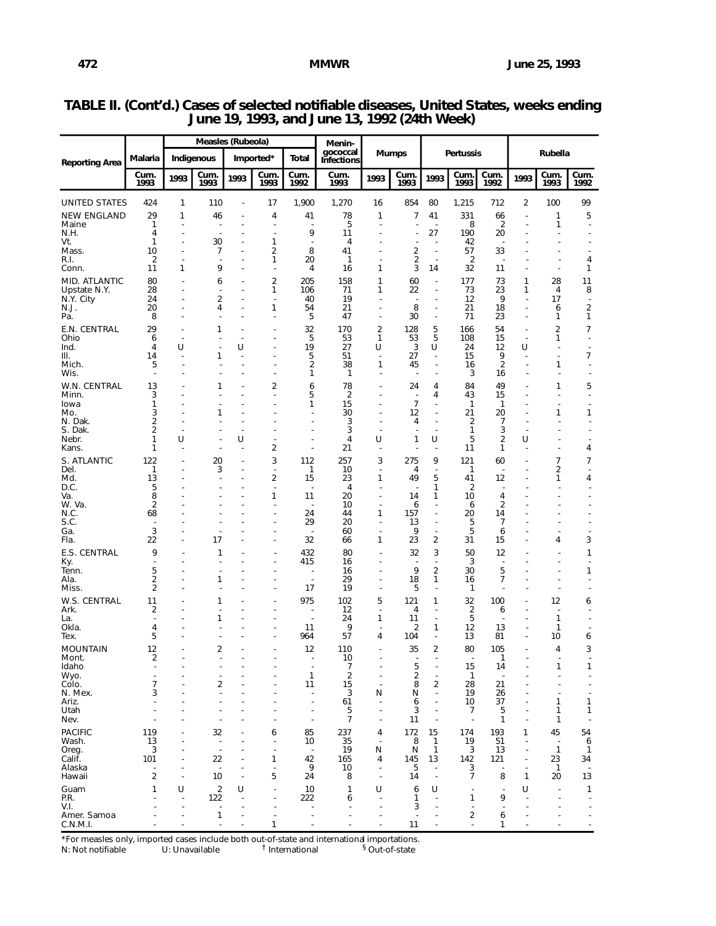|                               |                      |                               | Measles (Rubeola)              |                                |                                                      |                                | Menin-                        |                               |                                |                                            |                                  |                                |                                  |                                |                            |  |
|-------------------------------|----------------------|-------------------------------|--------------------------------|--------------------------------|------------------------------------------------------|--------------------------------|-------------------------------|-------------------------------|--------------------------------|--------------------------------------------|----------------------------------|--------------------------------|----------------------------------|--------------------------------|----------------------------|--|
| <b>Reporting Area</b>         | Malaria              | Indigenous                    |                                |                                | Imported*                                            | Total                          | gococcal<br><b>Infections</b> | <b>Mumps</b>                  |                                |                                            | <b>Pertussis</b>                 |                                | Rubella                          |                                |                            |  |
|                               | Cum.<br>1993         | 1993                          | Cum.<br>1993                   | 1993                           | Cum.<br>1993                                         | Cum.<br>1992                   | Cum.<br>1993                  | 1993                          | Cum.<br>1993                   | 1993                                       | Cum.<br>1993                     | Cum.<br>1992                   | 1993                             | Cum.<br>1993                   | Cum.<br>1992               |  |
| <b>UNITED STATES</b>          | 424                  | 1                             | 110                            | ÷,                             | 17                                                   | 1,900                          | 1,270                         | 16                            | 854                            | 80                                         | 1,215                            | 712                            | 2                                | 100                            | 99                         |  |
| <b>NEW ENGLAND</b>            | 29                   | 1                             | 46                             |                                | 4                                                    | 41                             | 78                            | 1                             | 7                              | 41                                         | 331                              | 66                             | $\overline{a}$                   | 1                              | 5                          |  |
| Maine<br>N.H.                 | 1<br>4               | ä,<br>÷.                      | $\overline{\phantom{a}}$<br>÷  | L,<br>÷.                       | $\overline{\phantom{a}}$<br>$\overline{\phantom{a}}$ | ÷<br>9                         | 5<br>11                       |                               | $\overline{a}$                 | $\overline{\phantom{a}}$<br>27             | 8<br>190                         | $\overline{2}$<br>20           | ÷,                               | 1                              | Ĭ.                         |  |
| Vt.<br>Mass.                  | 1<br>10              | ä,<br>÷,                      | 30<br>7                        | $\overline{\phantom{a}}$<br>÷, | 1<br>2                                               | $\overline{\phantom{a}}$<br>8  | 4<br>41                       |                               | 2                              | ٠<br>÷,                                    | 42<br>57                         | $\overline{\phantom{a}}$<br>33 |                                  |                                |                            |  |
| R.I.                          | 2                    | ÷,                            | ÷,                             | $\overline{a}$                 | 1                                                    | 20                             | $\mathbf{1}$                  |                               | 2                              | ÷,                                         | 2                                | $\overline{\phantom{a}}$       |                                  |                                | 4                          |  |
| Conn.                         | 11                   | 1                             | 9                              | Ĭ.                             | $\overline{a}$                                       | 4                              | 16                            | 1                             | 3                              | 14                                         | 32                               | 11                             | ä,                               | ä,                             | 1                          |  |
| MID. ATLANTIC<br>Upstate N.Y. | 80<br>28             | L,                            | 6<br>$\overline{a}$            | Ĭ.<br>$\overline{\phantom{a}}$ | $\overline{c}$<br>1                                  | 205<br>106                     | 158<br>71                     | 1<br>1                        | 60<br>22                       | $\overline{a}$<br>$\overline{a}$           | 177<br>73                        | 73<br>23                       | 1<br>1                           | 28<br>4                        | 11<br>8                    |  |
| N.Y. City                     | 24                   | L,                            | $\overline{\mathbf{c}}$        | Ĭ.                             | J.                                                   | 40                             | 19                            |                               |                                | ä,                                         | 12                               | 9                              |                                  | 17                             |                            |  |
| N.J.<br>Pa.                   | 20<br>8              | ÷,                            | 4                              | Ĭ.                             | 1<br>J.                                              | 54<br>5                        | 21<br>47                      |                               | 8<br>30                        | $\overline{a}$<br>$\overline{a}$           | 21<br>71                         | 18<br>23                       | $\overline{a}$<br>÷,             | 6<br>1                         | 2<br>1                     |  |
| E.N. CENTRAL                  | 29                   | $\overline{a}$                | 1                              | $\overline{\phantom{a}}$       | $\overline{\phantom{a}}$                             | 32                             | 170                           | $\overline{2}$                | 128                            | 5                                          | 166                              | 54                             | $\tilde{\phantom{a}}$            | 2                              | 7                          |  |
| Ohio                          | 6                    | ÷                             |                                | ٠                              | ÷,                                                   | 5                              | 53                            | 1                             | 53                             | 5                                          | 108                              | 15                             | $\overline{\phantom{a}}$         | 1                              | ä,                         |  |
| Ind.<br>III.                  | $\overline{4}$<br>14 | U                             | $\overline{a}$<br>1            | U<br>$\overline{\phantom{a}}$  | J.<br>÷,                                             | 19<br>5                        | 27<br>51                      | U<br>$\overline{\phantom{a}}$ | 3<br>27                        | U<br>$\tilde{\phantom{a}}$                 | 24<br>15                         | 12<br>9                        | U<br>٠                           | ä,<br>ä,                       | $\tilde{\phantom{a}}$<br>7 |  |
| Mich.<br>Wis.                 | 5<br>÷.              | ٠<br>÷.                       |                                | Ĭ.<br>÷.                       | $\overline{\phantom{a}}$<br>$\overline{\phantom{a}}$ | 2<br>1                         | 38<br>$\mathbf{1}$            | 1<br>$\overline{a}$           | 45<br>$\overline{\phantom{a}}$ | $\blacksquare$<br>$\overline{a}$           | 16<br>3                          | $\overline{2}$<br>16           | $\overline{a}$<br>÷.             | 1                              |                            |  |
| W.N. CENTRAL                  | 13                   |                               | 1                              |                                | 2                                                    | 6                              | 78                            |                               | 24                             | 4                                          | 84                               | 49                             |                                  | 1                              | 5                          |  |
| Minn.                         | 3                    |                               |                                |                                | $\overline{\phantom{a}}$                             | 5                              | $\overline{2}$                |                               | $\overline{\phantom{a}}$       | 4                                          | 43                               | 15                             |                                  |                                | $\overline{a}$             |  |
| lowa<br>Mo.                   | 1<br>3               |                               | 1                              |                                |                                                      | 1                              | 15<br>30                      |                               | $\overline{7}$<br>12           | $\overline{a}$<br>$\frac{1}{2}$            | 1<br>21                          | 1<br>20                        |                                  | 1                              | 1                          |  |
| N. Dak.                       | 2                    |                               |                                |                                |                                                      |                                | 3                             |                               | 4                              | $\overline{a}$                             | $\overline{2}$                   | $\overline{7}$                 |                                  |                                |                            |  |
| S. Dak.<br>Nebr.              | 2<br>1               | U                             |                                | $\overline{\phantom{a}}$<br>U  |                                                      |                                | 3<br>4                        | U                             | $\overline{a}$<br>1            | U                                          | 1<br>5                           | 3<br>$\overline{2}$            | U                                |                                |                            |  |
| Kans.                         | 1                    |                               |                                | $\overline{\phantom{a}}$       | 2                                                    |                                | 21                            | $\overline{a}$                |                                | $\overline{a}$                             | 11                               | 1                              |                                  |                                | 4                          |  |
| S. ATLANTIC                   | 122                  | ٠                             | 20                             | ٠                              | 3<br>$\sim$                                          | 112                            | 257                           | 3                             | 275                            | 9                                          | 121                              | 60                             |                                  | 7                              | 7                          |  |
| Del.<br>Md.                   | 1<br>13              | ٠<br>ä,                       | 3<br>$\overline{a}$            | $\blacksquare$<br>٠            | $\overline{2}$                                       | 1<br>15                        | 10<br>23                      | $\overline{\phantom{a}}$<br>1 | 4<br>49                        | $\tilde{\phantom{a}}$<br>5                 | 1<br>41                          | $\overline{\phantom{a}}$<br>12 |                                  | 2<br>1                         | ٠<br>4                     |  |
| D.C.<br>Va.                   | 5<br>8               |                               |                                | ٠                              | $\overline{\phantom{a}}$<br>1                        | $\overline{\phantom{a}}$<br>11 | $\overline{4}$<br>20          | $\overline{\phantom{a}}$      | ٠.<br>14                       | 1<br>1                                     | $\overline{2}$<br>10             | $\overline{\phantom{a}}$<br>4  |                                  |                                |                            |  |
| W. Va.                        | 2                    |                               |                                |                                | $\overline{\phantom{a}}$                             | $\overline{\phantom{a}}$       | 10                            | ٠                             | 6                              | ä,                                         | 6                                | $\overline{2}$                 |                                  |                                |                            |  |
| N.C.<br>S.C.                  | 68<br>٠              |                               |                                |                                | $\overline{\phantom{a}}$<br>$\overline{\phantom{a}}$ | 24<br>29                       | 44<br>20                      | 1<br>$\overline{\phantom{a}}$ | 157<br>13                      | ÷,<br>$\overline{\phantom{m}}$             | 20<br>5                          | 14<br>7                        |                                  |                                |                            |  |
| Ga.                           | 3                    | ٠                             |                                |                                | Ĭ.                                                   |                                | 60                            | ٠                             | 9                              | $\tilde{\phantom{a}}$                      | 5                                | 6                              |                                  |                                |                            |  |
| Fla.                          | 22                   |                               | 17                             |                                | Ĭ.                                                   | 32                             | 66                            | 1                             | 23                             | $\overline{2}$                             | 31                               | 15                             |                                  | 4                              | 3                          |  |
| E.S. CENTRAL<br>Ky.           | 9                    |                               | 1                              |                                | $\overline{a}$                                       | 432<br>415                     | 80<br>16                      |                               | 32                             | 3<br>÷,                                    | 50<br>3                          | 12<br>$\overline{a}$           |                                  |                                | 1                          |  |
| Tenn.<br>Ala.                 | 5<br>$\overline{2}$  |                               | 1                              |                                |                                                      | ÷,                             | 16<br>29                      |                               | 9<br>18                        | 2<br>1                                     | 30<br>16                         | 5<br>7                         |                                  |                                | 1                          |  |
| Miss.                         | $\overline{2}$       |                               |                                |                                | $\overline{a}$                                       | 17                             | 19                            |                               | 5                              | $\overline{a}$                             | 1                                |                                |                                  |                                |                            |  |
| W.S. CENTRAL                  | 11                   |                               | 1                              |                                |                                                      | 975                            | 102                           | 5                             | 121                            | 1                                          | 32                               | 100                            |                                  | 12                             | 6                          |  |
| Ark.<br>La.                   | 2                    |                               | $\overline{\phantom{a}}$<br>1  | ٠                              | $\blacksquare$                                       |                                | 12<br>24                      | $\overline{\phantom{a}}$<br>1 | 4<br>11                        | ٠<br>$\overline{a}$                        | $\overline{\mathbf{c}}$<br>5     | 6                              |                                  | $\tilde{\phantom{a}}$<br>1     |                            |  |
| Okla.                         | 4                    |                               |                                |                                | $\overline{\phantom{a}}$                             | 11                             | 9                             | $\blacksquare$                | $\overline{2}$                 | 1                                          | 12                               | 13                             |                                  | 1                              |                            |  |
| Tex.                          | 5                    |                               |                                |                                | $\overline{\phantom{a}}$                             | 964                            | 57                            | 4                             | 104                            | ä,                                         | 13                               | 81                             | ä,                               | 10                             | 6                          |  |
| <b>MOUNTAIN</b><br>Mont.      | 12<br>2              |                               | 2                              | J.                             | $\overline{\phantom{a}}$                             | 12                             | 110<br>10                     | $\overline{a}$                | 35                             | 2                                          | 80<br>$\overline{\phantom{a}}$   | 105<br>1                       | ÷,                               | 4                              | 3                          |  |
| Idaho<br>Wyo.                 | $\overline{a}$       |                               | $\overline{a}$                 |                                | $\overline{a}$                                       | $\mathbf{1}$                   | $\overline{7}$                |                               | 5<br>$\overline{2}$            | $\overline{a}$                             | 15<br>$\mathbf{1}$               | 14                             |                                  | 1                              | 1<br>٠                     |  |
| Colo.                         | 7                    |                               | 2                              |                                | ÷.                                                   | 11                             | $\overline{\mathbf{c}}$<br>15 | $\overline{\phantom{a}}$      | 8                              | 2                                          | 28                               | 21                             |                                  |                                |                            |  |
| N. Mex.<br>Ariz.              | 3                    |                               | $\overline{\phantom{a}}$       |                                | ł,                                                   | ÷,                             | 3<br>61                       | N                             | N<br>6                         | $\overline{\phantom{a}}$<br>$\overline{a}$ | 19<br>10                         | 26<br>37                       |                                  | 1                              | 1                          |  |
| Utah                          |                      |                               |                                |                                | J.                                                   | $\overline{\phantom{a}}$       | 5                             | ÷,                            | 3                              | $\overline{a}$                             | 7                                | 5                              |                                  | 1                              | 1                          |  |
| Nev.                          |                      |                               |                                |                                |                                                      |                                | $\overline{7}$                |                               | 11                             | $\overline{a}$                             | $\overline{\phantom{a}}$         | $\mathbf{1}$                   |                                  | 1                              |                            |  |
| <b>PACIFIC</b><br>Wash.       | 119<br>13            | ٠                             | 32<br>$\overline{a}$           |                                | 6<br>Ĭ.                                              | 85<br>10                       | 237<br>35                     | 4<br>$\overline{a}$           | 172<br>8                       | 15<br>$\mathbf{1}$                         | 174<br>19                        | 193<br>51                      | 1<br>$\overline{a}$              | 45<br>$\overline{\phantom{a}}$ | 54<br>6                    |  |
| Oreg.<br>Calif.               | 3<br>101             |                               | $\overline{\phantom{a}}$<br>22 | Ĭ.                             | $\overline{a}$<br>1                                  | $\overline{\phantom{a}}$<br>42 | 19<br>165                     | N<br>4                        | N<br>145                       | $\mathbf{1}$<br>13                         | 3<br>142                         | 13<br>121                      | $\overline{a}$<br>$\overline{a}$ | $\mathbf{1}$<br>23             | 1<br>34                    |  |
| Alaska                        | $\overline{a}$       |                               | $\overline{a}$                 | $\overline{a}$                 | Ĭ.                                                   | 9                              | 10                            | $\blacksquare$                | 5                              | $\overline{\phantom{a}}$                   | 3                                | $\overline{a}$                 | $\overline{\phantom{m}}$         | $\mathbf{1}$                   |                            |  |
| Hawaii                        | $\overline{2}$       | ÷,                            | 10                             | J.                             | 5                                                    | 24                             | 8                             | $\overline{\phantom{a}}$      | 14                             | $\frac{1}{2}$                              | $\overline{7}$                   | 8                              | $\mathbf{1}$                     | 20                             | 13                         |  |
| Guam<br>P.R.                  | $\mathbf{1}$         | U<br>$\overline{\phantom{a}}$ | $\overline{2}$<br>122          | U<br>$\overline{a}$            | J.<br>$\overline{a}$                                 | 10<br>222                      | $\mathbf{1}$<br>6             | U<br>$\overline{\phantom{a}}$ | 6<br>1                         | U<br>$\overline{a}$                        | ÷,<br>1                          | 9                              | U<br>÷.                          |                                | 1                          |  |
| V.I.                          |                      | ÷.                            | $\overline{\phantom{a}}$       | J.                             |                                                      |                                | ÷                             | $\overline{\phantom{a}}$      | 3                              | ÷.                                         | $\overline{\phantom{a}}$         |                                |                                  |                                |                            |  |
| Amer. Samoa<br>C.N.M.I.       |                      |                               | 1                              |                                | ÷,<br>1                                              |                                |                               | $\overline{a}$                | $\overline{\phantom{a}}$<br>11 | ÷.                                         | $\overline{2}$<br>$\overline{a}$ | 6<br>1                         |                                  |                                |                            |  |
|                               |                      |                               |                                |                                |                                                      |                                |                               |                               |                                |                                            |                                  |                                |                                  |                                |                            |  |

## **TABLE II. (Cont'd.) Cases of selected notifiable diseases, United States, weeks ending June 19, 1993, and June 13, 1992 (24th Week)**

\*For measles only, imported cases include both out-of-state and international importations.<br>N: Not notifiable U: Unavailable <sup>†</sup> International <sup>§</sup> Out-of-state N: Not notifiable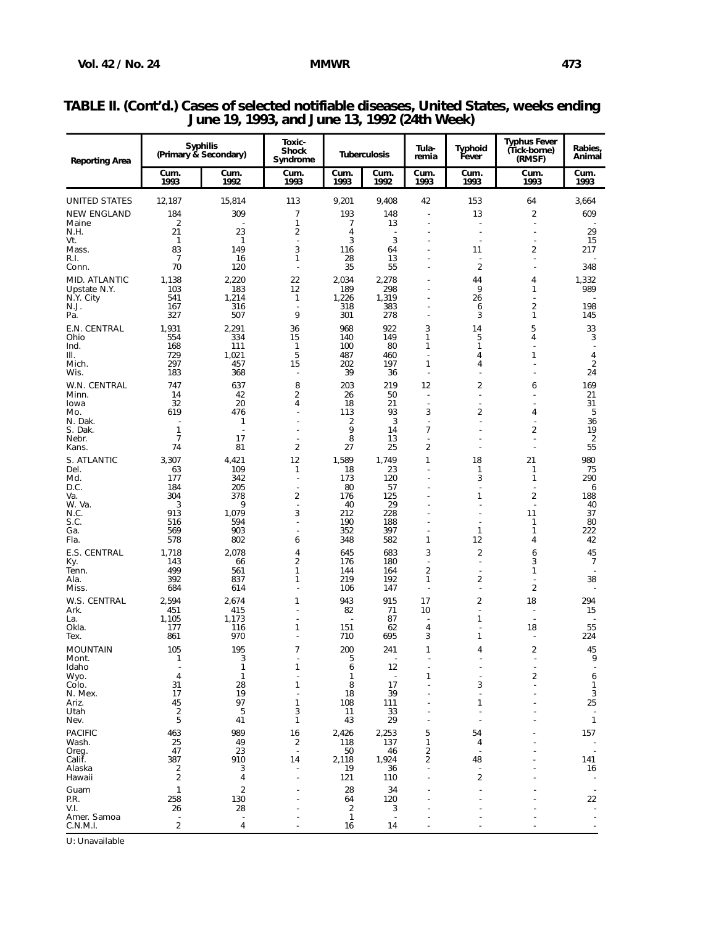| <b>Reporting Area</b>                      |                      | <b>Syphilis</b><br>(Primary & Secondary) | Toxic-<br><b>Shock</b><br>Syndrome |                      | <b>Tuberculosis</b>            | Tula-<br>remia                             | Typhoid<br>Fever                 | <b>Typhus Fever</b><br>(Tick-borne)<br>(RMSF) | Rabies,<br>Animal             |
|--------------------------------------------|----------------------|------------------------------------------|------------------------------------|----------------------|--------------------------------|--------------------------------------------|----------------------------------|-----------------------------------------------|-------------------------------|
|                                            | Cum.<br>1993         | Cum.<br>1992                             | Cum.<br>1993                       | Cum.<br>1993         | Cum.<br>1992                   | Cum.<br>1993                               | Cum.<br>1993                     | Cum.<br>1993                                  | Cum.<br>1993                  |
| <b>UNITED STATES</b><br><b>NEW ENGLAND</b> | 12,187<br>184        | 15,814<br>309                            | 113<br>7                           | 9,201<br>193         | 9,408<br>148                   | 42                                         | 153<br>13                        | 64<br>$\overline{2}$                          | 3,664<br>609                  |
| Maine                                      | $\overline{2}$       |                                          | 1                                  | 7                    | 13                             | ٠                                          | $\overline{\phantom{a}}$         | $\overline{\phantom{a}}$                      |                               |
| N.H.<br>Vt.                                | 21<br>$\mathbf{1}$   | 23<br>$\mathbf{1}$                       | 2<br>$\overline{\phantom{a}}$      | 4<br>3               | $\overline{\phantom{a}}$<br>3  |                                            | $\overline{\phantom{a}}$         |                                               | 29<br>15                      |
| Mass.<br>R.I.                              | 83<br>$\overline{7}$ | 149<br>16                                | 3<br>1                             | 116<br>28            | 64<br>13                       |                                            | 11<br>$\blacksquare$             | $\overline{2}$                                | 217                           |
| Conn.                                      | 70                   | 120                                      | ÷,                                 | 35                   | 55                             |                                            | $\overline{2}$                   |                                               | 348                           |
| MID. ATLANTIC                              | 1,138                | 2,220                                    | 22                                 | 2,034                | 2,278                          |                                            | 44                               | 4<br>$\mathbf{1}$                             | 1,332                         |
| Upstate N.Y.<br>N.Y. City                  | 103<br>541           | 183<br>1,214                             | 12<br>1                            | 189<br>1,226         | 298<br>1,319                   |                                            | 9<br>26                          |                                               | 989                           |
| N.J.<br>Pa.                                | 167<br>327           | 316<br>507                               | $\overline{\phantom{a}}$<br>9      | 318<br>301           | 383<br>278                     |                                            | 6<br>3                           | $\overline{2}$<br>$\mathbf{1}$                | 198<br>145                    |
| E.N. CENTRAL                               | 1,931                | 2,291                                    | 36                                 | 968                  | 922                            | 3                                          | 14                               | 5                                             | 33                            |
| Ohio<br>Ind.                               | 554<br>168           | 334<br>111                               | 15<br>$\mathbf{1}$                 | 140<br>100           | 149<br>80                      | 1<br>1                                     | 5<br>1                           | 4                                             | 3<br>$\overline{\phantom{a}}$ |
| III.                                       | 729                  | 1,021                                    | 5                                  | 487                  | 460                            | Ĭ.                                         | 4                                | 1                                             | 4                             |
| Mich.<br>Wis.                              | 297<br>183           | 457<br>368                               | 15<br>÷,                           | 202<br>39            | 197<br>36                      | 1<br>÷,                                    | 4<br>Ĭ.                          |                                               | 2<br>24                       |
| W.N. CENTRAL                               | 747                  | 637                                      | 8                                  | 203                  | 219                            | 12                                         | $\overline{2}$                   | 6                                             | 169                           |
| Minn.<br>lowa                              | 14<br>32             | 42<br>20                                 | $\overline{\mathbf{c}}$<br>4       | 26<br>18             | 50<br>21                       | $\overline{\phantom{a}}$<br>J.             | ÷,                               |                                               | 21<br>31                      |
| Mo.                                        | 619                  | 476                                      | J.                                 | 113                  | 93                             | 3                                          | 2                                | 4                                             | 5                             |
| N. Dak.<br>S. Dak.                         | $\mathbf{1}$         | 1<br>$\overline{\phantom{a}}$            | ٠<br>J.                            | 2<br>9               | 3<br>14                        | $\overline{\phantom{a}}$<br>$\overline{7}$ | $\blacksquare$                   | $\overline{\mathbf{c}}$                       | 36<br>19                      |
| Nebr.                                      | $\overline{7}$<br>74 | 17                                       | ÷,<br>$\overline{c}$               | 8                    | 13<br>25                       | Ĭ.<br>$\overline{\mathbf{c}}$              |                                  |                                               | 2<br>55                       |
| Kans.<br>S. ATLANTIC                       | 3,307                | 81<br>4,421                              | 12                                 | 27<br>1,589          | 1,749                          | 1                                          | ٠<br>18                          | 21                                            | 980                           |
| Del.                                       | 63                   | 109                                      | $\mathbf{1}$                       | 18                   | 23                             |                                            | 1                                | $\mathbf{1}$                                  | 75                            |
| Md.<br>D.C.                                | 177<br>184           | 342<br>205                               | $\overline{\phantom{a}}$<br>J.     | 173<br>80            | 120<br>57                      |                                            | 3                                | $\mathbf{1}$                                  | 290<br>6                      |
| Va.<br>W. Va.                              | 304<br>3             | 378<br>9                                 | $\overline{2}$<br>Ĭ.               | 176<br>40            | 125<br>29                      |                                            | 1                                | $\overline{2}$                                | 188<br>40                     |
| N.C.                                       | 913                  | 1,079                                    | 3                                  | 212                  | 228                            |                                            |                                  | 11                                            | 37                            |
| S.C.<br>Ga.                                | 516<br>569           | 594<br>903                               | $\overline{a}$<br>$\overline{a}$   | 190<br>352           | 188<br>397                     |                                            | $\mathbf{1}$                     | $\mathbf{1}$<br>$\mathbf{1}$                  | 80<br>222                     |
| Fla.                                       | 578                  | 802                                      | 6                                  | 348                  | 582                            | 1                                          | 12                               | 4                                             | 42                            |
| E.S. CENTRAL<br>Ky.                        | 1,718<br>143         | 2,078<br>66                              | 4<br>2                             | 645<br>176           | 683<br>180                     | 3<br>÷,                                    | $\overline{c}$<br>$\blacksquare$ | 6<br>3                                        | 45<br>7                       |
| Tenn.                                      | 499                  | 561                                      | 1                                  | 144                  | 164                            | $\overline{2}$                             | $\blacksquare$                   | 1                                             | $\blacksquare$                |
| Ala.<br>Miss.                              | 392<br>684           | 837<br>614                               | 1<br>$\overline{\phantom{a}}$      | 219<br>106           | 192<br>147                     | 1<br>$\overline{a}$                        | 2<br>$\blacksquare$              | $\overline{c}$                                | 38                            |
| W.S. CENTRAL                               | 2,594                | 2,674                                    | 1                                  | 943                  | 915                            | 17                                         | 2                                | 18                                            | 294                           |
| Ark.<br>La.                                | 451<br>1,105         | 415<br>1,173                             | $\overline{a}$                     | 82                   | 71<br>87                       | 10<br>Ĭ.                                   | $\overline{a}$<br>1              |                                               | 15                            |
| Okla.                                      | 177                  | 116                                      | 1                                  | 151                  | 62                             | 4                                          |                                  | 18                                            | 55                            |
| Tex.<br><b>MOUNTAIN</b>                    | 861<br>105           | 970<br>195                               | $\overline{7}$                     | 710<br>200           | 695<br>241                     | 3<br>1                                     | 1<br>4                           | $\overline{2}$                                | 224<br>45                     |
| Mont.                                      | 1                    | 3                                        |                                    | 5                    |                                |                                            |                                  |                                               | 9                             |
| Idaho<br>Wyo.                              | 4                    | $\mathbf{1}$<br>$\mathbf{1}$             | 1                                  | 6<br>1               | 12<br>$\overline{\phantom{a}}$ | 1                                          |                                  | 2                                             | 6                             |
| Colo.<br>N. Mex.                           | 31<br>17             | 28<br>19                                 | 1                                  | 8<br>18              | 17<br>39                       |                                            | 3                                |                                               | 1<br>3                        |
| Ariz.                                      | 45                   | 97                                       | 1                                  | 108                  | 111                            |                                            | 1                                |                                               | 25                            |
| Utah<br>Nev.                               | $\overline{2}$<br>5  | 5<br>41                                  | 3<br>1                             | 11<br>43             | 33<br>29                       |                                            |                                  |                                               | $\overline{\phantom{a}}$<br>1 |
| <b>PACIFIC</b>                             | 463                  | 989                                      | 16                                 | 2,426                | 2,253                          | 5                                          | 54                               |                                               | 157                           |
| Wash.<br>Oreg.                             | 25<br>47             | 49<br>23                                 | $\overline{\mathbf{c}}$<br>÷,      | 118<br>50            | 137<br>46                      | 1<br>2                                     | 4                                |                                               |                               |
| Calif.                                     | 387                  | 910                                      | 14                                 | 2,118                | 1,924                          | 2                                          | 48                               |                                               | 141                           |
| Alaska<br>Hawaii                           | 2<br>$\sqrt{2}$      | 3<br>4                                   |                                    | 19<br>121            | 36<br>110                      |                                            | 2                                |                                               | 16                            |
| Guam                                       | $\mathbf{1}$         | $\overline{2}$                           |                                    | 28                   | 34                             |                                            |                                  |                                               |                               |
| P.R.<br>V.I.                               | 258<br>26            | 130<br>28                                |                                    | 64<br>$\overline{2}$ | 120<br>3                       |                                            |                                  |                                               | 22                            |
| Amer. Samoa                                |                      |                                          |                                    | $\mathbf{1}$         |                                |                                            |                                  |                                               |                               |
| C.N.M.I.                                   | $\overline{2}$       | 4                                        |                                    | 16                   | 14                             |                                            |                                  |                                               |                               |

## **TABLE II. (Cont'd.) Cases of selected notifiable diseases, United States, weeks ending June 19, 1993, and June 13, 1992 (24th Week)**

U: Unavailable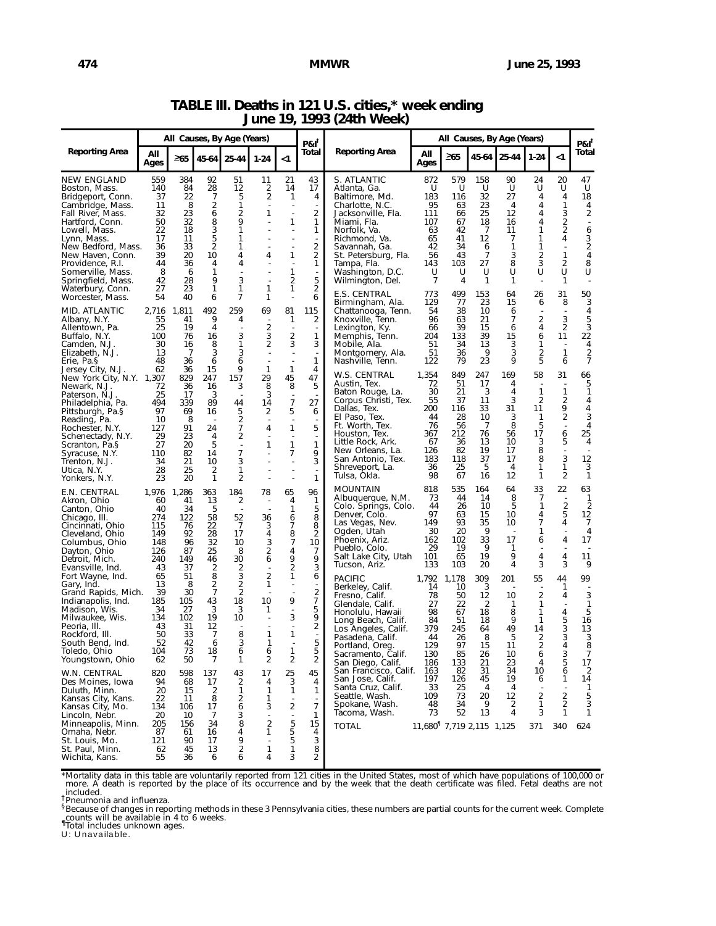|                                                                                                                                                                                                                                                                                                                                                                                          | All Causes, By Age (Years)                                                                                                             |                                                                                                                                  |                                                                                                                                 |                                                                                                                                      |                                                                                                                                    |                                                                                                               | $PAI^T$                                                                                                                                                          |                                                                                                                                                                                                                                                                                                                                                                                                                            | All Causes, By Age (Years)                                                                                                             |                                                                                                                                    |                                                                                                                         |                                                                                                        |                                                                                                                      |                                                                                                                                                  |                                                                                                                                                                                                              |
|------------------------------------------------------------------------------------------------------------------------------------------------------------------------------------------------------------------------------------------------------------------------------------------------------------------------------------------------------------------------------------------|----------------------------------------------------------------------------------------------------------------------------------------|----------------------------------------------------------------------------------------------------------------------------------|---------------------------------------------------------------------------------------------------------------------------------|--------------------------------------------------------------------------------------------------------------------------------------|------------------------------------------------------------------------------------------------------------------------------------|---------------------------------------------------------------------------------------------------------------|------------------------------------------------------------------------------------------------------------------------------------------------------------------|----------------------------------------------------------------------------------------------------------------------------------------------------------------------------------------------------------------------------------------------------------------------------------------------------------------------------------------------------------------------------------------------------------------------------|----------------------------------------------------------------------------------------------------------------------------------------|------------------------------------------------------------------------------------------------------------------------------------|-------------------------------------------------------------------------------------------------------------------------|--------------------------------------------------------------------------------------------------------|----------------------------------------------------------------------------------------------------------------------|--------------------------------------------------------------------------------------------------------------------------------------------------|--------------------------------------------------------------------------------------------------------------------------------------------------------------------------------------------------------------|
| <b>Reporting Area</b>                                                                                                                                                                                                                                                                                                                                                                    | All<br>Ages                                                                                                                            | $\geq 65$                                                                                                                        | $45 - 64$                                                                                                                       | 25-44                                                                                                                                | $1 - 24$                                                                                                                           | $<$ 1                                                                                                         | Total                                                                                                                                                            | <b>Reporting Area</b>                                                                                                                                                                                                                                                                                                                                                                                                      | All<br>Ages                                                                                                                            | $\geq 65$                                                                                                                          | 45-64                                                                                                                   | 25-44                                                                                                  | $1 - 24$                                                                                                             | $<$ 1                                                                                                                                            | $PAI^T$<br>Total                                                                                                                                                                                             |
| <b>NEW ENGLAND</b><br>Boston, Mass.<br>Bridgeport, Conn.<br>Cambridge, Mass.<br>Fall River, Mass.<br>Hartford, Conn.<br>Lowell, Mass.<br>Lynn, Mass.<br>New Bedford, Mass.<br>New Haven, Conn.<br>Providence, R.I.<br>Somerville, Mass.<br>Springfield, Mass.<br>Waterbury, Conn.                                                                                                        | 559<br>140<br>37<br>11<br>32<br>50<br>22<br>17<br>36<br>39<br>44<br>8<br>42<br>27                                                      | 384<br>84<br>22<br>8<br>23<br>32<br>18<br>11<br>33<br>20<br>36<br>6<br>28<br>23                                                  | 92<br>28<br>7<br>$\overline{2}$<br>6<br>8<br>3<br>5<br>2<br>10<br>4<br>1<br>9<br>1                                              | 51<br>12<br>5<br>1<br>2<br>9<br>1<br>1<br>1<br>4<br>4<br>3<br>1                                                                      | 11<br>2<br>2<br>1<br>4<br>1                                                                                                        | 21<br>14<br>1<br>÷,<br>1<br>1<br>1<br>2<br>1                                                                  | 43<br>17<br>4<br>2<br>1<br>1<br>2<br>2<br>1<br>5<br>2                                                                                                            | S. ATLANTIC<br>Atlanta, Ga.<br>Baltimore, Md.<br>Charlotte, N.C.<br>Jacksonville, Fla.<br>Miami, Fla.<br>Norfolk, Va.<br>Richmond, Va.<br>Savannah, Ga.<br>St. Petersburg, Fla.<br>Tampa, Fla.<br>Washington, D.C.<br>Wilmington, Del.<br><b>E.S. CENTRAL</b>                                                                                                                                                              | 872<br>U<br>183<br>95<br>111<br>107<br>63<br>65<br>42<br>56<br>143<br>U<br>$\overline{7}$<br>773                                       | 579<br>U<br>116<br>63<br>66<br>67<br>42<br>41<br>34<br>43<br>103<br>U<br>4<br>499                                                  | 158<br>U<br>32<br>23<br>25<br>18<br>$\overline{7}$<br>12<br>6<br>$\overline{7}$<br>27<br>U<br>1                         | 90<br>U<br>27<br>4<br>12<br>16<br>11<br>7<br>1<br>3<br>8<br>U<br>$\mathbf{1}$                          | 24<br>U<br>4<br>4<br>4<br>4<br>1<br>1<br>1<br>2<br>3<br>U                                                            | 20<br>U<br>4<br>$\mathbf{1}$<br>3<br>$\overline{\mathbf{c}}$<br>$\overline{2}$<br>4<br>$\overline{a}$<br>1<br>2<br>U<br>1                        | 47<br>U<br>18<br>$\overline{4}$<br>$\overline{2}$<br>$\overline{\phantom{a}}$<br>6<br>3<br>2<br>4<br>8<br>U                                                                                                  |
| Worcester, Mass.<br>MID. ATLANTIC<br>Albany, N.Y.<br>Allentown, Pa.<br>Buffalo, N.Y.<br>Camden, N.J.<br>Elizabeth, N.J.<br>Erie, Pa.§                                                                                                                                                                                                                                                    | 54<br>2,716<br>55<br>25<br>100<br>30<br>13<br>48                                                                                       | 40<br>1,811<br>41<br>19<br>76<br>16<br>7<br>36                                                                                   | 6<br>492<br>9<br>$\overline{4}$<br>16<br>8<br>3<br>6                                                                            | 7<br>259<br>4<br>3<br>1<br>3<br>6                                                                                                    | 1<br>69<br>$\overline{\phantom{a}}$<br>2<br>3<br>$\overline{2}$                                                                    | $\overline{\phantom{a}}$<br>81<br>1<br>$\overline{\phantom{a}}$<br>2<br>3                                     | 6<br>115<br>2<br>$\overline{\phantom{a}}$<br>$\mathbf{1}$<br>3<br>1                                                                                              | Birmingham, Ala.<br>Chattanooga, Tenn.<br>Knoxville, Tenn.<br>Lexington, Ky.<br>Memphis, Tenn.<br>Mobile, Ala.<br>Montgomery, Ala.<br>Nashville, Tenn.                                                                                                                                                                                                                                                                     | 129<br>54<br>96<br>66<br>204<br>51<br>51<br>122                                                                                        | 77<br>38<br>63<br>39<br>133<br>34<br>36<br>79                                                                                      | 153<br>23<br>10<br>21<br>15<br>39<br>13<br>9<br>23                                                                      | 64<br>15<br>6<br>7<br>6<br>15<br>3<br>3<br>9                                                           | 26<br>6<br>2<br>4<br>6<br>1<br>$\overline{2}$<br>5                                                                   | 31<br>8<br>3<br>$\overline{2}$<br>11<br>$\mathbf{1}$<br>6                                                                                        | 50<br>3<br>4<br>5<br>3<br>22<br>$\overline{4}$<br>$\overline{2}$<br>$\overline{7}$                                                                                                                           |
| Jersey City, N.J.<br>New York City, N.Y. 1,307<br>Newark, N.J.<br>Paterson, N.J.<br>Philadelphia, Pa.<br>Pittsburgh, Pa.§<br>Reading, Pa.<br>Rochester, N.Y.<br>Schenectady, N.Y.<br>Scranton, Pa.§<br>Syracuse, N.Y.<br>Trenton, N.J.<br>Utica, N.Y.<br>Yonkers, N.Y.                                                                                                                   | 62<br>72<br>25<br>494<br>97<br>10<br>127<br>29<br>27<br>110<br>34<br>28<br>23                                                          | 36<br>829<br>36<br>17<br>339<br>69<br>8<br>91<br>23<br>20<br>82<br>21<br>25<br>20                                                | 15<br>247<br>16<br>3<br>89<br>16<br>24<br>4<br>5<br>14<br>10<br>2<br>$\mathbf{1}$                                               | 9<br>157<br>3<br>44<br>5<br>$\overline{\mathbf{c}}$<br>$\overline{7}$<br>2<br>$\overline{7}$<br>3<br>$\mathbf{1}$<br>2               | $\mathbf{1}$<br>29<br>8<br>3<br>14<br>2<br>4<br>1<br>$\blacksquare$                                                                | 1<br>45<br>8<br>$\overline{7}$<br>5<br>1<br>1<br>7<br>$\overline{a}$                                          | 4<br>47<br>5<br>27<br>6<br>5<br>$\overline{\phantom{a}}$<br>1<br>9<br>3<br>1                                                                                     | W.S. CENTRAL<br>Austin, Tex.<br>Baton Rouge, La.<br>Corpus Christi, Tex.<br>Dallas, Tex.<br>El Paso, Tex.<br>Ft. Worth, Tex.<br>Houston, Tex.<br>Little Rock, Ark.<br>New Orleans, La.<br>San Antonio, Tex.<br>Shreveport, La.<br>Tulsa, Okla.                                                                                                                                                                             | 1,354<br>72<br>30<br>55<br>200<br>44<br>76<br>367<br>67<br>126<br>183<br>36<br>98                                                      | 849<br>51<br>21<br>37<br>116<br>28<br>56<br>212<br>36<br>82<br>118<br>25<br>67                                                     | 247<br>17<br>3<br>11<br>33<br>10<br>$\overline{7}$<br>76<br>13<br>19<br>37<br>5<br>16                                   | 169<br>4<br>4<br>3<br>31<br>3<br>8<br>56<br>10<br>17<br>17<br>4<br>12                                  | 58<br>1<br>$\overline{2}$<br>11<br>1<br>5<br>17<br>3<br>8<br>8<br>1<br>1                                             | 31<br>$\overline{\phantom{a}}$<br>1<br>$\overline{2}$<br>9<br>2<br>$\overline{\phantom{a}}$<br>6<br>5<br>$\overline{\phantom{a}}$<br>3<br>1<br>2 | 66<br>5<br>1<br>4<br>4<br>3<br>$\overline{4}$<br>25<br>4<br>۰.<br>12<br>3<br>$\mathbf{1}$                                                                                                                    |
| E.N. CENTRAL<br>Akron, Ohio<br>Canton, Ohio<br>Chicago, III.<br>Cincinnati, Ohio<br>Cleveland, Ohio<br>Columbus, Ohio<br>Dayton, Ohio<br>Detroit, Mich.<br>Evansville, Ind.<br>Fort Wayne, Ind.<br>Gary, Ind.<br>Grand Rapids, Mich.<br>Indianapolis, Ind.<br>Madison, Wis.<br>Milwaukee, Wis.<br>Peoria, III.<br>Rockford, III.<br>South Bend, Ind.<br>Toledo, Ohio<br>Youngstown, Ohio | 1,976<br>60<br>40<br>274<br>115<br>149<br>148<br>126<br>240<br>43<br>65<br>13<br>39<br>185<br>34<br>134<br>43<br>50<br>52<br>104<br>62 | 1,286<br>41<br>34<br>122<br>76<br>92<br>96<br>87<br>149<br>37<br>51<br>8<br>30<br>105<br>27<br>102<br>31<br>33<br>42<br>73<br>50 | 363<br>13<br>5<br>58<br>22<br>28<br>32<br>25<br>46<br>2<br>8<br>$\overline{2}$<br>7<br>43<br>3<br>19<br>12<br>7<br>6<br>18<br>7 | 184<br>2<br>52<br>$\overline{7}$<br>17<br>10<br>8<br>30<br>$\overline{2}$<br>$\frac{3}{2}$<br>2<br>18<br>3<br>10<br>8<br>3<br>6<br>1 | 78<br>$\overline{\phantom{a}}$<br>$\overline{\phantom{a}}$<br>36<br>3<br>4<br>3<br>2<br>6<br>2<br>1<br>10<br>1<br>1<br>1<br>6<br>2 | 65<br>4<br>1<br>6<br>7<br>8<br>7<br>4<br>9<br>2<br>1<br>9<br>3<br>1<br>$\overline{\phantom{a}}$<br>1<br>2     | 96<br>1<br>5<br>8<br>8<br>$\overline{2}$<br>10<br>7<br>9<br>3<br>6<br>$\overline{2}$<br>7<br>5<br>9<br>2<br>$\overline{\phantom{a}}$<br>5<br>5<br>$\overline{a}$ | <b>MOUNTAIN</b><br>Albuquerque, N.M.<br>Colo. Springs, Colo.<br>Denver, Colo.<br>Las Vegas, Nev.<br>Ogden, Utah<br>Phoenix, Ariz.<br>Pueblo, Colo.<br>Salt Lake City, Utah<br>Tucson, Ariz.<br><b>PACIFIC</b><br>Berkeley, Calif.<br>Fresno, Calif.<br>Glendale, Calif.<br>Honolulu, Hawaii<br>Long Beach, Calif.<br>Los Angeles, Calif.<br>Pasadena, Calif.<br>Portland, Oreg.<br>Sacramento, Calif.<br>San Diego, Calif. | 818<br>73<br>44<br>97<br>149<br>30<br>162<br>29<br>101<br>133<br>1,792<br>14<br>78<br>27<br>98<br>84<br>379<br>44<br>129<br>130<br>186 | 535<br>44<br>26<br>63<br>93<br>20<br>102<br>19<br>65<br>103<br>1,178<br>10<br>50<br>22<br>67<br>51<br>245<br>26<br>97<br>85<br>133 | 164<br>14<br>10<br>15<br>35<br>9<br>33<br>9<br>19<br>20<br>309<br>3<br>12<br>2<br>18<br>18<br>64<br>8<br>15<br>26<br>21 | 64<br>8<br>5<br>10<br>10<br>17<br>1<br>9<br>4<br>201<br>10<br>1<br>8<br>9<br>49<br>5<br>11<br>10<br>23 | 33<br>7<br>1<br>4<br>7<br>1<br>6<br>4<br>3<br>55<br>2<br>1<br>1<br>1<br>14<br>$\overline{\mathbf{c}}$<br>2<br>6<br>4 | 22<br>$\overline{\phantom{a}}$<br>$\overline{2}$<br>5<br>4<br>$\overline{a}$<br>4<br>4<br>3<br>44<br>1<br>4<br>4<br>5<br>3<br>3<br>4<br>3<br>5   | 63<br>$\mathbf{1}$<br>$\overline{2}$<br>12<br>$\overline{7}$<br>$\overline{4}$<br>17<br>٠.<br>11<br>9<br>99<br>٠.<br>3<br>1<br>5<br>16<br>13<br>3<br>8<br>$\prime$<br>$\begin{array}{c} 17 \\ 2 \end{array}$ |
| W.N. CENTRAL<br>Des Moines, Iowa<br>Duluth, Minn.<br>Kansas City, Kans.<br>Kansas City, Mo.<br>Lincoln, Nebr.<br>Minneapolis, Minn.<br>Omaha, Nebr.<br>St. Louis, Mo.<br>St. Paul, Minn.<br>Wichita, Kans.                                                                                                                                                                               | 820<br>94<br>20<br>22<br>134<br>20<br>205<br>87<br>121<br>62<br>55                                                                     | 598<br>68<br>15<br>11<br>106<br>10<br>156<br>61<br>90<br>45<br>36                                                                | 137<br>17<br>2<br>8<br>17<br>7<br>34<br>16<br>17<br>13<br>6                                                                     | 43<br>2<br>1<br>2<br>6<br>3<br>8<br>4<br>9<br>2<br>6                                                                                 | 17<br>4<br>1<br>1<br>3<br>$\tilde{\phantom{a}}$<br>$\overline{2}$<br>1<br>1<br>4                                                   | 25<br>3<br>1<br>$\overline{\phantom{a}}$<br>2<br>$\overline{\phantom{a}}$<br>5<br>5<br>5<br>$\mathbf{1}$<br>3 | 45<br>4<br>1<br>7<br>1<br>15<br>4<br>3<br>8<br>2                                                                                                                 | San Francisco, Calif.<br>San Jose, Calif.<br>Santa Cruz, Calif.<br>Seattle, Wash.<br>Spokane, Wash.<br>Tacoma, Wash.<br><b>TOTAL</b>                                                                                                                                                                                                                                                                                       | 163<br>197<br>33<br>109<br>48<br>73<br>11,680 <sup>1</sup> 7,719 2,115 1,125                                                           | 82<br>126<br>25<br>73<br>34<br>52                                                                                                  | 31<br>45<br>4<br>20<br>9<br>13                                                                                          | 34<br>19<br>4<br>12<br>2<br>4                                                                          | 10<br>6<br>2<br>1<br>3<br>371                                                                                        | 6<br>1<br>$\overline{2}$<br>2<br>$\mathbf{1}$<br>340                                                                                             | 14<br>$\mathbf{1}$<br>5<br>3<br>1<br>624                                                                                                                                                                     |

### **TABLE III. Deaths in 121 U.S. cities,\* week ending June 19, 1993 (24th Week)**

\*Mortality data in this table are voluntarily reported from 121 cities in the United States, most of which have populations of 100,000 or<br>more. A death is reported by the place of its occurrence and by the week that the de

included. †Pneumonia and influenza.

§Because of changes in reporting methods in these 3 Pennsylvania cities, these numbers are partial counts for the current week. Complete counts will be available in 4 to 6 weeks. ¶Total includes unknown ages.

U: Unavailable.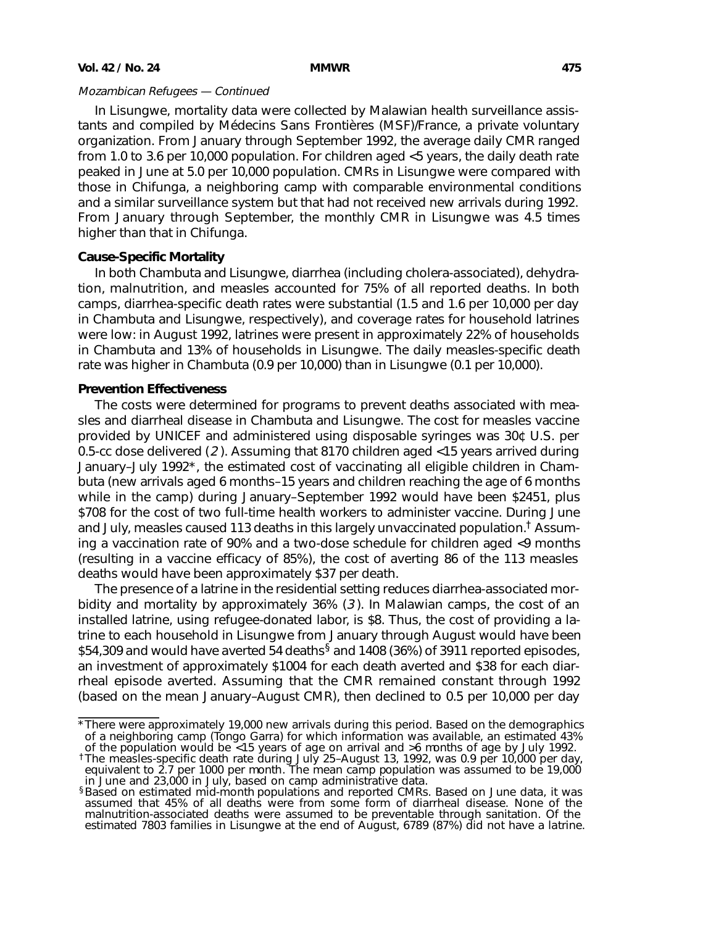In Lisungwe, mortality data were collected by Malawian health surveillance assistants and compiled by Médecins Sans Frontières (MSF)/France, a private voluntary organization. From January through September 1992, the average daily CMR ranged from 1.0 to 3.6 per 10,000 population. For children aged <5 years, the daily death rate peaked in June at 5.0 per 10,000 population. CMRs in Lisungwe were compared with those in Chifunga, a neighboring camp with comparable environmental conditions and a similar surveillance system but that had not received new arrivals during 1992. From January through September, the monthly CMR in Lisungwe was 4.5 times higher than that in Chifunga.

## **Cause-Specific Mortality**

In both Chambuta and Lisungwe, diarrhea (including cholera-associated), dehydration, malnutrition, and measles accounted for 75% of all reported deaths. In both camps, diarrhea-specific death rates were substantial (1.5 and 1.6 per 10,000 per day in Chambuta and Lisungwe, respectively), and coverage rates for household latrines were low: in August 1992, latrines were present in approximately 22% of households in Chambuta and 13% of households in Lisungwe. The daily measles-specific death rate was higher in Chambuta (0.9 per 10,000) than in Lisungwe (0.1 per 10,000).

## **Prevention Effectiveness**

The costs were determined for programs to prevent deaths associated with measles and diarrheal disease in Chambuta and Lisungwe. The cost for measles vaccine provided by UNICEF and administered using disposable syringes was 30¢ U.S. per 0.5-cc dose delivered (2 ). Assuming that 8170 children aged <15 years arrived during January–July 1992\*, the estimated cost of vaccinating all eligible children in Chambuta (new arrivals aged 6 months–15 years and children reaching the age of 6 months while in the camp) during January–September 1992 would have been \$2451, plus \$708 for the cost of two full-time health workers to administer vaccine. During June and July, measles caused 113 deaths in this largely unvaccinated population.† Assuming a vaccination rate of 90% and a two-dose schedule for children aged <9 months (resulting in a vaccine efficacy of 85%), the cost of averting 86 of the 113 measles deaths would have been approximately \$37 per death.

The presence of a latrine in the residential setting reduces diarrhea-associated morbidity and mortality by approximately 36% (3 ). In Malawian camps, the cost of an installed latrine, using refugee-donated labor, is \$8. Thus, the cost of providing a latrine to each household in Lisungwe from January through August would have been \$54,309 and would have averted 54 deaths<sup>§</sup> and 1408 (36%) of 3911 reported episodes, an investment of approximately \$1004 for each death averted and \$38 for each diarrheal episode averted. Assuming that the CMR remained constant through 1992 (based on the mean January–August CMR), then declined to 0.5 per 10,000 per day

<sup>\*</sup>There were approximately 19,000 new arrivals during this period. Based on the demographics of a neighboring camp (Tongo Garra) for which information was available, an estimated 43%

of the population would be <15 years of age on arrival and >6 months of age by July 1992. †The measles-specific death rate during July 25–August 13, 1992, was 0.9 per 10,000 per day, equivalent to 2.7 per 1000 per month. The mean camp population was assumed to be 19,000 in June and 23,000 in July, based on camp administrative data.

<sup>§</sup>Based on estimated mid-month populations and reported CMRs. Based on June data, it was assumed that 45% of all deaths were from some form of diarrheal disease. None of the malnutrition-associated deaths were assumed to be preventable through sanitation. Of the estimated 7803 families in Lisungwe at the end of August, 6789 (87%) did not have a latrine.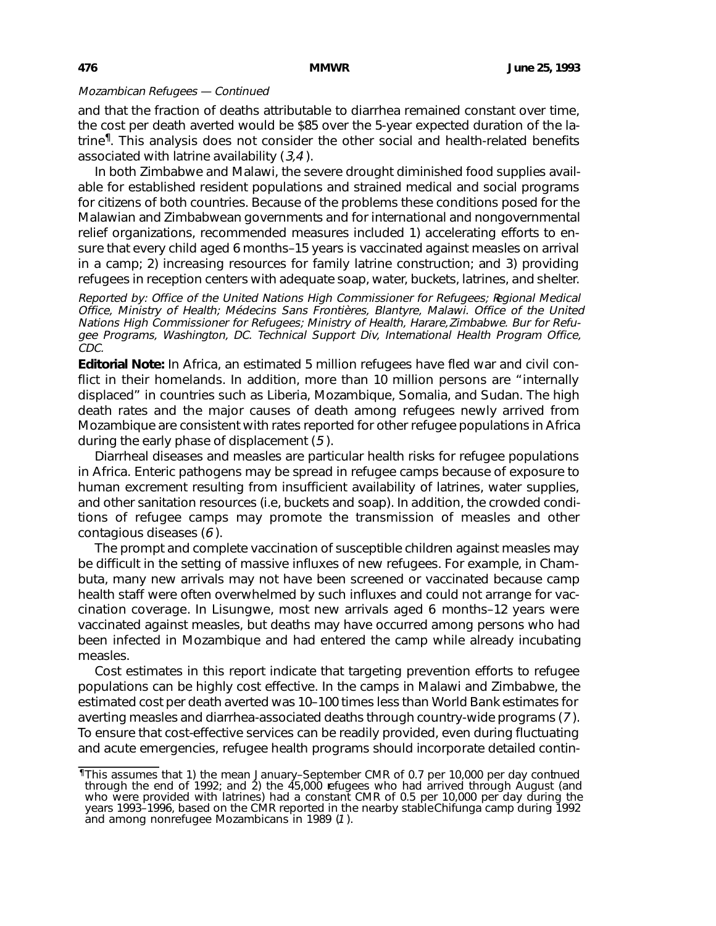and that the fraction of deaths attributable to diarrhea remained constant over time, the cost per death averted would be \$85 over the 5-year expected duration of the latrine¶. This analysis does not consider the other social and health-related benefits associated with latrine availability  $(3,4)$ .

In both Zimbabwe and Malawi, the severe drought diminished food supplies available for established resident populations and strained medical and social programs for citizens of both countries. Because of the problems these conditions posed for the Malawian and Zimbabwean governments and for international and nongovernmental relief organizations, recommended measures included 1) accelerating efforts to ensure that every child aged 6 months–15 years is vaccinated against measles on arrival in a camp; 2) increasing resources for family latrine construction; and 3) providing refugees in reception centers with adequate soap, water, buckets, latrines, and shelter.

Reported by: Office of the United Nations High Commissioner for Refugees; Regional Medical Office, Ministry of Health; Médecins Sans Frontières, Blantyre, Malawi. Office of the United Nations High Commissioner for Refugees; Ministry of Health, Harare, Zimbabwe. Bur for Refugee Programs, Washington, DC. Technical Support Div, International Health Program Office, CDC.

**Editorial Note:** In Africa, an estimated 5 million refugees have fled war and civil conflict in their homelands. In addition, more than 10 million persons are "internally displaced" in countries such as Liberia, Mozambique, Somalia, and Sudan. The high death rates and the major causes of death among refugees newly arrived from Mozambique are consistent with rates reported for other refugee populations in Africa during the early phase of displacement (5 ).

Diarrheal diseases and measles are particular health risks for refugee populations in Africa. Enteric pathogens may be spread in refugee camps because of exposure to human excrement resulting from insufficient availability of latrines, water supplies, and other sanitation resources (i.e, buckets and soap). In addition, the crowded conditions of refugee camps may promote the transmission of measles and other contagious diseases (6 ).

The prompt and complete vaccination of susceptible children against measles may be difficult in the setting of massive influxes of new refugees. For example, in Chambuta, many new arrivals may not have been screened or vaccinated because camp health staff were often overwhelmed by such influxes and could not arrange for vaccination coverage. In Lisungwe, most new arrivals aged 6 months–12 years were vaccinated against measles, but deaths may have occurred among persons who had been infected in Mozambique and had entered the camp while already incubating measles.

Cost estimates in this report indicate that targeting prevention efforts to refugee populations can be highly cost effective. In the camps in Malawi and Zimbabwe, the estimated cost per death averted was 10–100 times less than World Bank estimates for averting measles and diarrhea-associated deaths through country-wide programs (7 ). To ensure that cost-effective services can be readily provided, even during fluctuating and acute emergencies, refugee health programs should incorporate detailed contin-

<sup>¶</sup>This assumes that 1) the mean January–September CMR of 0.7 per 10,000 per day continued through the end of 1992; and 2) the 45,000 refugees who had arrived through August (and who were provided with latrines) had a constant CMR of 0.5 per 10,000 per day during the years 1993–1996, based on the CMR reported in the nearby stableChifunga camp during 1992<br>and among nonrefugee Mozambicans in 1989 (1 ).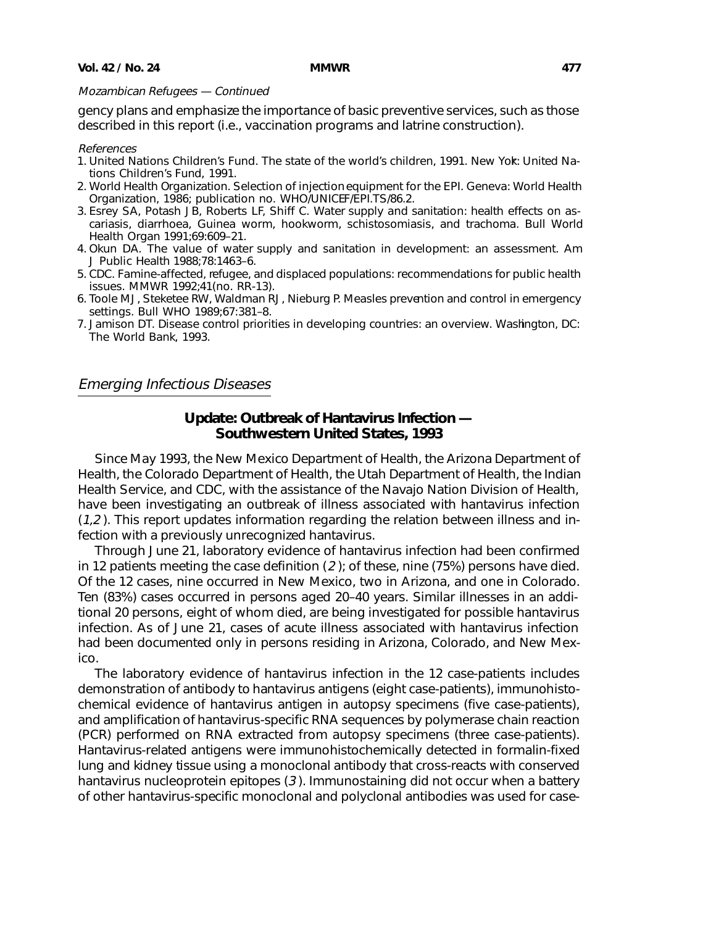<span id="page-12-0"></span>gency plans and emphasize the importance of basic preventive services, such as those described in this report (i.e., vaccination programs and latrine construction).

### References

- 1. United Nations Children's Fund. The state of the world's children, 1991. New York: United Nations Children's Fund, 1991.
- 2. World Health Organization. Selection of injection equipment for the EPI. Geneva: World Health Organization, 1986; publication no. WHO/UNICEF/EPI.TS/86.2.
- 3. Esrey SA, Potash JB, Roberts LF, Shiff C. Water supply and sanitation: health effects on ascariasis, diarrhoea, Guinea worm, hookworm, schistosomiasis, and trachoma. Bull World Health Organ 1991;69:609–21.
- 4. Okun DA. The value of water supply and sanitation in development: an assessment. Am J Public Health 1988;78:1463–6.
- 5. CDC. Famine-affected, refugee, and displaced populations: recommendations for public health issues. MMWR 1992;41(no. RR-13).
- 6. Toole MJ, Steketee RW, Waldman RJ, Nieburg P. Measles prevention and control in emergency settings. Bull WHO 1989;67:381–8.
- 7. Jamison DT. Disease control priorities in developing countries: an overview. Washington, DC: The World Bank, 1993.

## Emerging Infectious Diseases

## **Update: Outbreak of Hantavirus Infection — Southwestern United States, 1993**

Since May 1993, the New Mexico Department of Health, the Arizona Department of Health, the Colorado Department of Health, the Utah Department of Health, the Indian Health Service, and CDC, with the assistance of the Navajo Nation Division of Health, have been investigating an outbreak of illness associated with hantavirus infection  $(1,2)$ . This report updates information regarding the relation between illness and infection with a previously unrecognized hantavirus.

Through June 21, laboratory evidence of hantavirus infection had been confirmed in 12 patients meeting the case definition  $(2)$ ; of these, nine (75%) persons have died. Of the 12 cases, nine occurred in New Mexico, two in Arizona, and one in Colorado. Ten (83%) cases occurred in persons aged 20–40 years. Similar illnesses in an additional 20 persons, eight of whom died, are being investigated for possible hantavirus infection. As of June 21, cases of acute illness associated with hantavirus infection had been documented only in persons residing in Arizona, Colorado, and New Mexico.

The laboratory evidence of hantavirus infection in the 12 case-patients includes demonstration of antibody to hantavirus antigens (eight case-patients), immunohistochemical evidence of hantavirus antigen in autopsy specimens (five case-patients), and amplification of hantavirus-specific RNA sequences by polymerase chain reaction (PCR) performed on RNA extracted from autopsy specimens (three case-patients). Hantavirus-related antigens were immunohistochemically detected in formalin-fixed lung and kidney tissue using a monoclonal antibody that cross-reacts with conserved hantavirus nucleoprotein epitopes (3 ). Immunostaining did not occur when a battery of other hantavirus-specific monoclonal and polyclonal antibodies was used for case-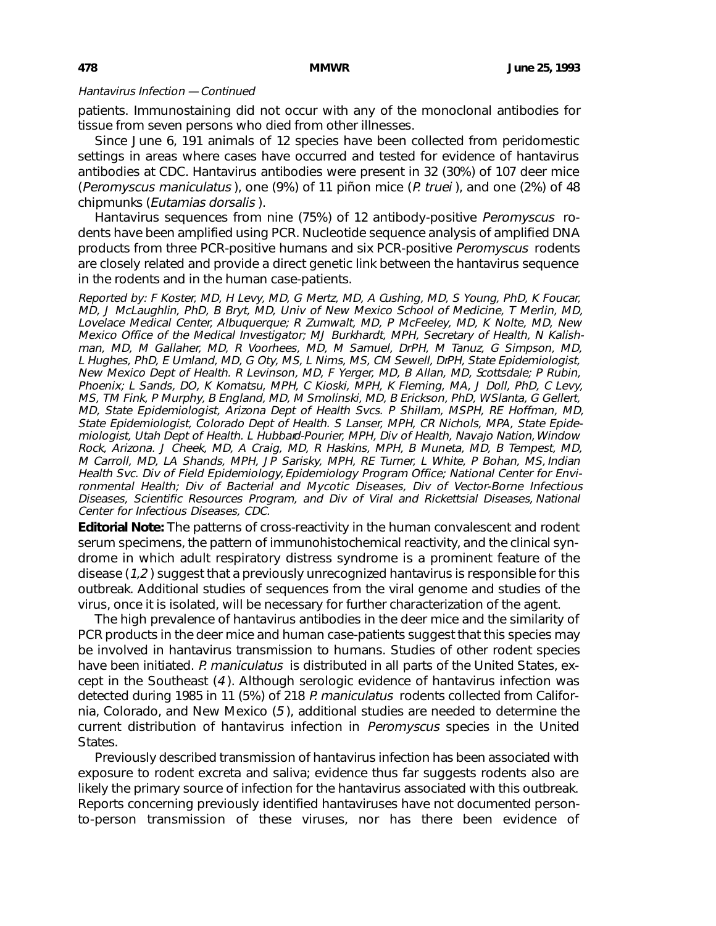### Hantavirus Infection — Continued

patients. Immunostaining did not occur with any of the monoclonal antibodies for tissue from seven persons who died from other illnesses.

Since June 6, 191 animals of 12 species have been collected from peridomestic settings in areas where cases have occurred and tested for evidence of hantavirus antibodies at CDC. Hantavirus antibodies were present in 32 (30%) of 107 deer mice (Peromyscus maniculatus ), one (9%) of 11 piñon mice (P. truei ), and one (2%) of 48 chipmunks (Eutamias dorsalis ).

Hantavirus sequences from nine (75%) of 12 antibody-positive Peromyscus rodents have been amplified using PCR. Nucleotide sequence analysis of amplified DNA products from three PCR-positive humans and six PCR-positive Peromyscus rodents are closely related and provide a direct genetic link between the hantavirus sequence in the rodents and in the human case-patients.

Reported by: F Koster, MD, H Levy, MD, G Mertz, MD, A Cushing, MD, S Young, PhD, K Foucar, MD, J McLaughlin, PhD, B Bryt, MD, Univ of New Mexico School of Medicine, T Merlin, MD, Lovelace Medical Center, Albuquerque; R Zumwalt, MD, P McFeeley, MD, K Nolte, MD, New Mexico Office of the Medical Investigator; MJ Burkhardt, MPH, Secretary of Health, N Kalishman, MD, M Gallaher, MD, R Voorhees, MD, M Samuel, DrPH, M Tanuz, G Simpson, MD, L Hughes, PhD, E Umland, MD, G Oty, MS, L Nims, MS, CM Sewell, DrPH, State Epidemiologist, New Mexico Dept of Health. R Levinson, MD, F Yerger, MD, B Allan, MD, Scottsdale; P Rubin, Phoenix; L Sands, DO, K Komatsu, MPH, C Kioski, MPH, K Fleming, MA, J Doll, PhD, C Levy, MS, TM Fink, P Murphy, B England, MD, M Smolinski, MD, B Erickson, PhD, W Slanta, G Gellert, MD, State Epidemiologist, Arizona Dept of Health Svcs. P Shillam, MSPH, RE Hoffman, MD, State Epidemiologist, Colorado Dept of Health. S Lanser, MPH, CR Nichols, MPA, State Epidemiologist, Utah Dept of Health. L Hubbard-Pourier, MPH, Div of Health, Navajo Nation, Window Rock, Arizona. J Cheek, MD, A Craig, MD, R Haskins, MPH, B Muneta, MD, B Tempest, MD, M Carroll, MD, LA Shands, MPH, JP Sarisky, MPH, RE Turner, L White, P Bohan, MS, Indian Health Svc. Div of Field Epidemiology, Epidemiology Program Office; National Center for Environmental Health; Div of Bacterial and Mycotic Diseases, Div of Vector-Borne Infectious Diseases, Scientific Resources Program, and Div of Viral and Rickettsial Diseases, National Center for Infectious Diseases, CDC.

**Editorial Note:** The patterns of cross-reactivity in the human convalescent and rodent serum specimens, the pattern of immunohistochemical reactivity, and the clinical syndrome in which adult respiratory distress syndrome is a prominent feature of the disease (1,2 ) suggest that a previously unrecognized hantavirus is responsible for this outbreak. Additional studies of sequences from the viral genome and studies of the virus, once it is isolated, will be necessary for further characterization of the agent.

The high prevalence of hantavirus antibodies in the deer mice and the similarity of PCR products in the deer mice and human case-patients suggest that this species may be involved in hantavirus transmission to humans. Studies of other rodent species have been initiated. P. maniculatus is distributed in all parts of the United States, except in the Southeast (4 ). Although serologic evidence of hantavirus infection was detected during 1985 in 11 (5%) of 218 P. maniculatus rodents collected from California, Colorado, and New Mexico (5 ), additional studies are needed to determine the current distribution of hantavirus infection in Peromyscus species in the United States.

Previously described transmission of hantavirus infection has been associated with exposure to rodent excreta and saliva; evidence thus far suggests rodents also are likely the primary source of infection for the hantavirus associated with this outbreak. Reports concerning previously identified hantaviruses have not documented personto-person transmission of these viruses, nor has there been evidence of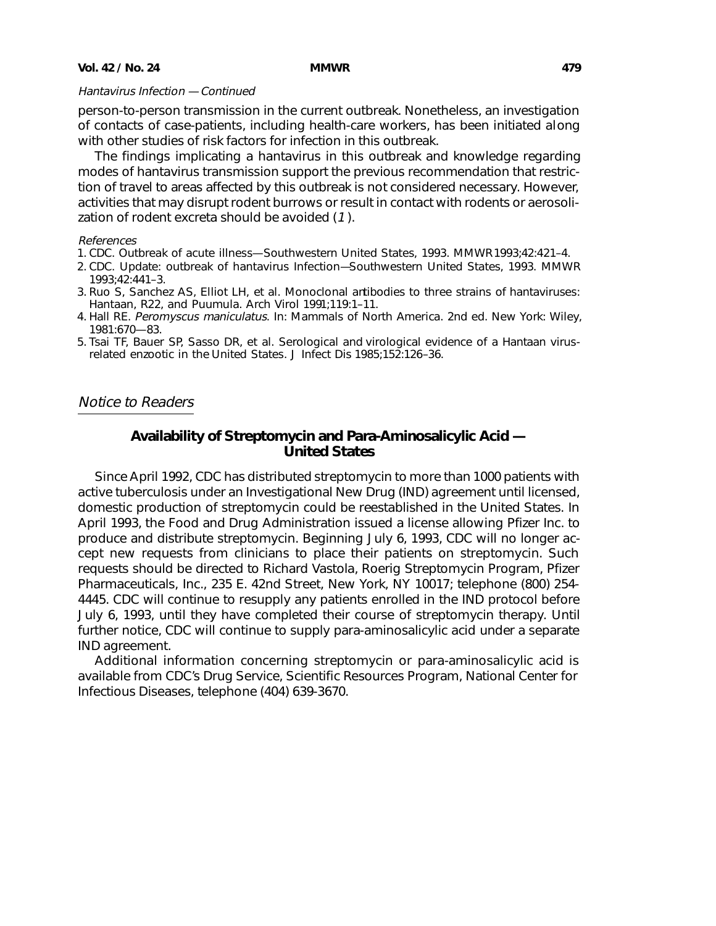# <span id="page-14-0"></span>Hantavirus Infection — Continued

person-to-person transmission in the current outbreak. Nonetheless, an investigation of contacts of case-patients, including health-care workers, has been initiated along with other studies of risk factors for infection in this outbreak.

The findings implicating a hantavirus in this outbreak and knowledge regarding modes of hantavirus transmission support the previous recommendation that restriction of travel to areas affected by this outbreak is not considered necessary. However, activities that may disrupt rodent burrows or result in contact with rodents or aerosolization of rodent excreta should be avoided (1 ).

## References

- 1. CDC. Outbreak of acute illness—Southwestern United States, 1993. MMWR 1993;42:421–4.
- 2. CDC. Update: outbreak of hantavirus Infection—Southwestern United States, 1993. MMWR 1993;42:441–3.
- 3. Ruo S, Sanchez AS, Elliot LH, et al. Monoclonal antibodies to three strains of hantaviruses: Hantaan, R22, and Puumula. Arch Virol 1991;119:1–11.
- 4. Hall RE. Peromyscus maniculatus. In: Mammals of North America. 2nd ed. New York: Wiley, 1981:670—83.
- 5. Tsai TF, Bauer SP, Sasso DR, et al. Serological and virological evidence of a Hantaan virusrelated enzootic in the United States. J Infect Dis 1985;152:126–36.

# Notice to Readers

# **Availability of Streptomycin and Para-Aminosalicylic Acid — United States**

Since April 1992, CDC has distributed streptomycin to more than 1000 patients with active tuberculosis under an Investigational New Drug (IND) agreement until licensed, domestic production of streptomycin could be reestablished in the United States. In April 1993, the Food and Drug Administration issued a license allowing Pfizer Inc. to produce and distribute streptomycin. Beginning July 6, 1993, CDC will no longer accept new requests from clinicians to place their patients on streptomycin. Such requests should be directed to Richard Vastola, Roerig Streptomycin Program, Pfizer Pharmaceuticals, Inc., 235 E. 42nd Street, New York, NY 10017; telephone (800) 254- 4445. CDC will continue to resupply any patients enrolled in the IND protocol before July 6, 1993, until they have completed their course of streptomycin therapy. Until further notice, CDC will continue to supply para-aminosalicylic acid under a separate IND agreement.

Additional information concerning streptomycin or para-aminosalicylic acid is available from CDC's Drug Service, Scientific Resources Program, National Center for Infectious Diseases, telephone (404) 639-3670.